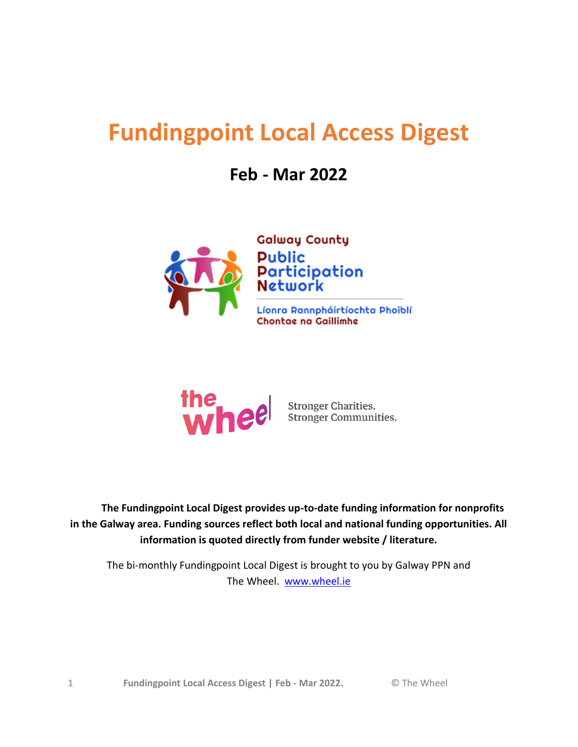# <span id="page-0-0"></span>**Fundingpoint Local Access Digest**

# **Feb - Mar 2022**





**Stronger Charities. Stronger Communities.** 

 **The Fundingpoint Local Digest provides up-to-date funding information for nonprofits in the Galway area. Funding sources reflect both local and national funding opportunities. All information is quoted directly from funder website / literature.**

The bi-monthly Fundingpoint Local Digest is brought to you by Galway PPN and The Wheel. [www.wheel.ie](http://www.wheel.ie/)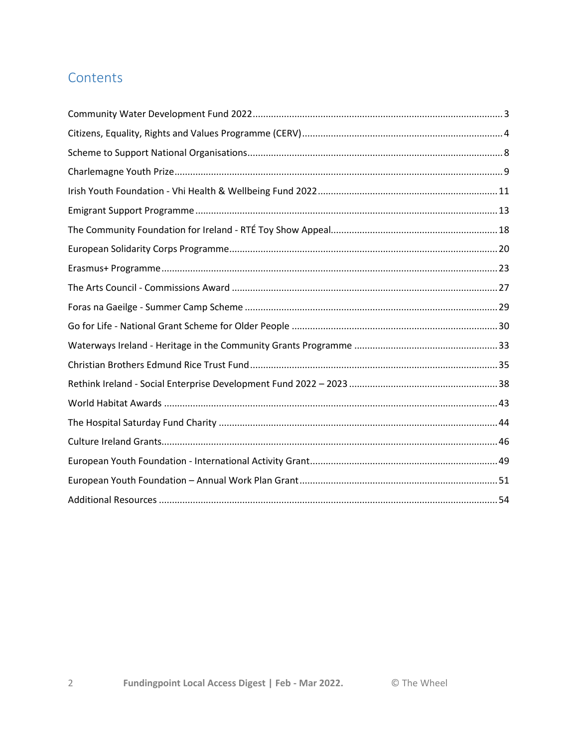# Contents

 $\overline{2}$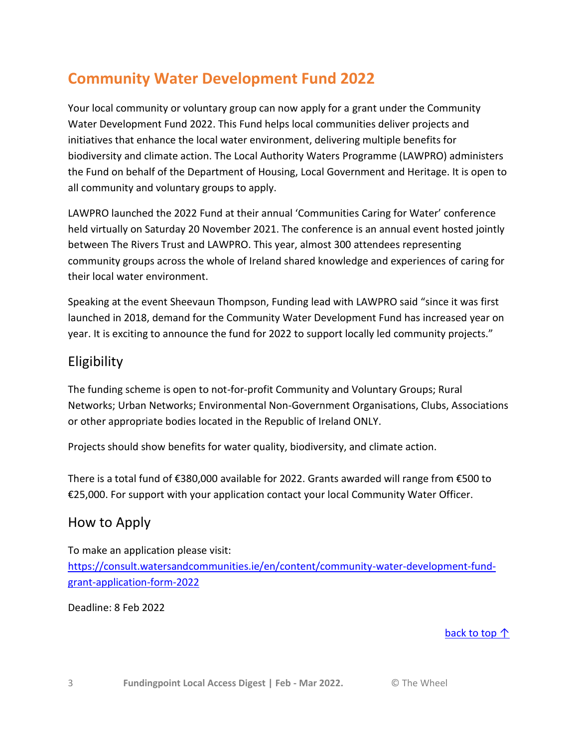# <span id="page-2-0"></span>**Community Water Development Fund 2022**

Your local community or voluntary group can now apply for a grant under the Community Water Development Fund 2022. This Fund helps local communities deliver projects and initiatives that enhance the local water environment, delivering multiple benefits for biodiversity and climate action. The Local Authority Waters Programme (LAWPRO) administers the Fund on behalf of the Department of Housing, Local Government and Heritage. It is open to all community and voluntary groups to apply.

LAWPRO launched the 2022 Fund at their annual 'Communities Caring for Water' conference held virtually on Saturday 20 November 2021. The conference is an annual event hosted jointly between The Rivers Trust and LAWPRO. This year, almost 300 attendees representing community groups across the whole of Ireland shared knowledge and experiences of caring for their local water environment.

Speaking at the event Sheevaun Thompson, Funding lead with LAWPRO said "since it was first launched in 2018, demand for the Community Water Development Fund has increased year on year. It is exciting to announce the fund for 2022 to support locally led community projects."

# Eligibility

The funding scheme is open to not-for-profit Community and Voluntary Groups; Rural Networks; Urban Networks; Environmental Non-Government Organisations, Clubs, Associations or other appropriate bodies located in the Republic of Ireland ONLY.

Projects should show benefits for water quality, biodiversity, and climate action.

There is a total fund of €380,000 available for 2022. Grants awarded will range from €500 to €25,000. For support with your application contact your local Community Water Officer.

# How to Apply

To make an application please visit: [https://consult.watersandcommunities.ie/en/content/community-water-development-fund](https://consult.watersandcommunities.ie/en/content/community-water-development-fund-grant-application-form-2022)[grant-application-form-2022](https://consult.watersandcommunities.ie/en/content/community-water-development-fund-grant-application-form-2022)

Deadline: 8 Feb 2022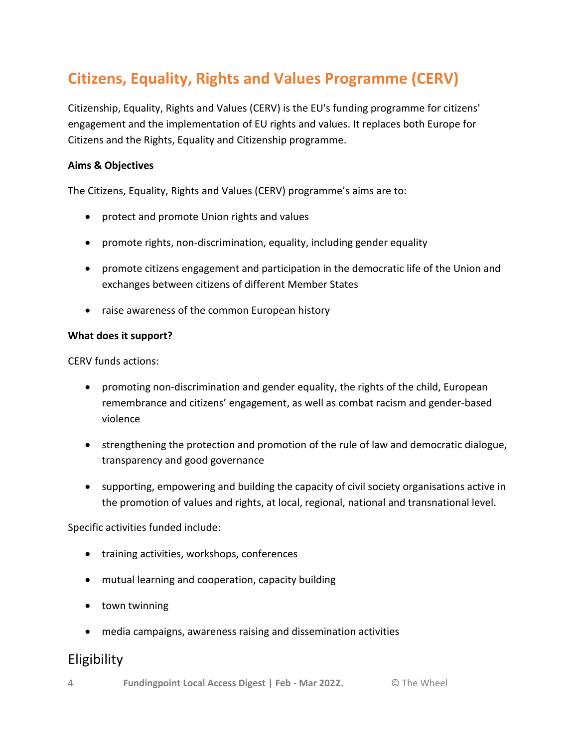# <span id="page-3-0"></span>**Citizens, Equality, Rights and Values Programme (CERV)**

Citizenship, Equality, Rights and Values (CERV) is the EU's funding programme for citizens' engagement and the implementation of EU rights and values. It replaces both Europe for Citizens and the Rights, Equality and Citizenship programme.

### **Aims & Objectives**

The Citizens, Equality, Rights and Values (CERV) programme's aims are to: 

- protect and promote Union rights and values
- promote rights, non-discrimination, equality, including gender equality
- promote citizens engagement and participation in the democratic life of the Union and exchanges between citizens of different Member States
- raise awareness of the common European history

### **What does it support?**

CERV funds actions: 

- promoting non-discrimination and gender equality, the rights of the child, European remembrance and citizens' engagement, as well as combat racism and gender-based violence
- strengthening the protection and promotion of the rule of law and democratic dialogue, transparency and good governance
- supporting, empowering and building the capacity of civil society organisations active in the promotion of values and rights, at local, regional, national and transnational level.

### Specific activities funded include:

- training activities, workshops, conferences
- mutual learning and cooperation, capacity building
- town twinning
- media campaigns, awareness raising and dissemination activities

# **Eligibility**

4 **Fundingpoint Local Access Digest | Feb - Mar 2022.** © The Wheel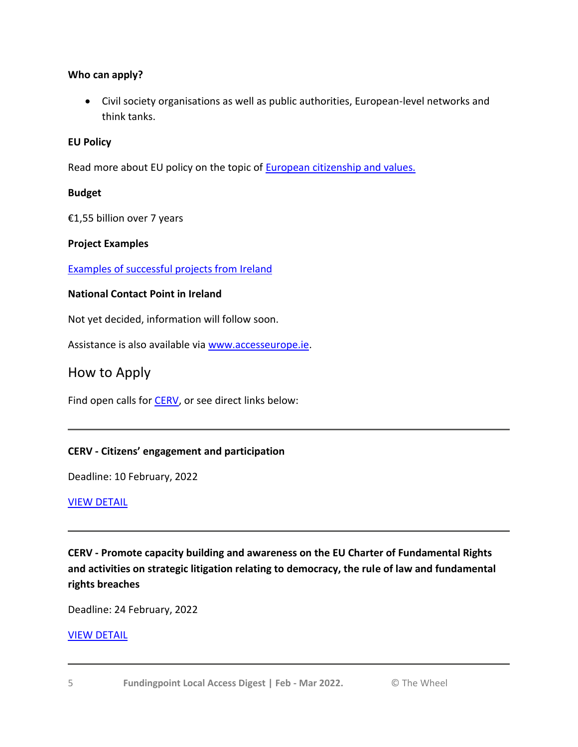## **Who can apply?**

 Civil society organisations as well as public authorities, European-level networks and think tanks.

## **EU Policy**

Read more about EU policy on the topic of **[European citizenship and values.](https://accesseurope.ie/funding-guides/european-citizenship-values)** 

## **Budget**

€1,55 billion over 7 years

## **Project Examples**

[Examples of successful projects from Ireland](https://www.europeforcitizens.ie/project-examples.html)

## **National Contact Point in Ireland**

Not yet decided, information will follow soon.

Assistance is also available via [www.accesseurope.ie.](https://www.accesseurope.ie/funding-guides/citizens-equality-rights-and-values-programme-cerv)

# How to Apply

Find open calls for **CERV**, or see direct links below:

# **CERV - Citizens' engagement and participation**

Deadline: 10 February, 2022

### [VIEW DETAIL](https://www.accesseurope.ie/open-funds/cerv-citizens-engagement-and-participation)

**CERV - Promote capacity building and awareness on the EU Charter of Fundamental Rights and activities on strategic litigation relating to democracy, the rule of law and fundamental rights breaches**

Deadline: 24 February, 2022

# [VIEW DETAIL](https://www.accesseurope.ie/open-funds/cerv-promote-capacity-building-and-awareness-on-the-eu-charter-of-fundamental-rights-and-activities-on-strategic-litigation-relating-to-democracy-the-rule-of-law-and-fundamental-rights-breaches)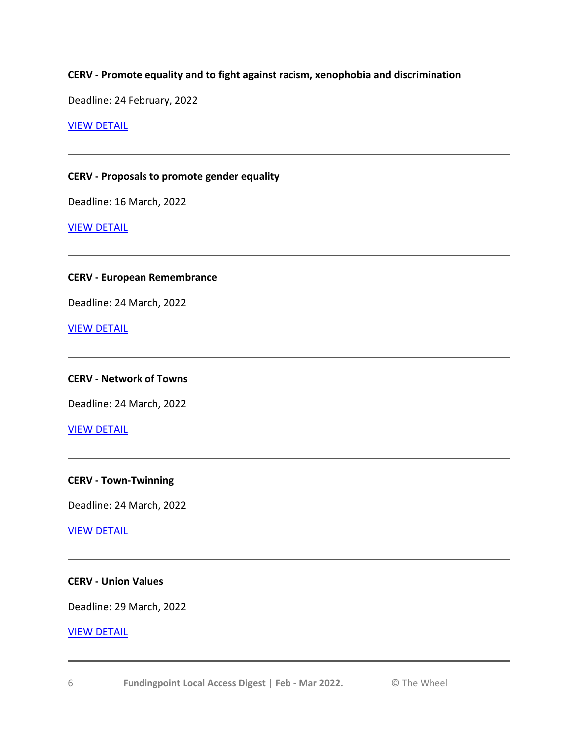### **CERV - Promote equality and to fight against racism, xenophobia and discrimination**

Deadline: 24 February, 2022

#### [VIEW DETAIL](https://www.accesseurope.ie/open-funds/cerv-promote-equality-and-to-fight-against-racism-xenophobia-and-discrimination)

#### **CERV - Proposals to promote gender equality**

Deadline: 16 March, 2022

#### [VIEW DETAIL](https://www.accesseurope.ie/open-funds/cerv-proposals-to-promote-gender-equality)

### **CERV - European Remembrance**

Deadline: 24 March, 2022

[VIEW DETAIL](https://www.accesseurope.ie/open-funds/cerv-european-remembrance)

#### **CERV - Network of Towns**

Deadline: 24 March, 2022

[VIEW DETAIL](https://www.accesseurope.ie/open-funds/cerv-network-of-towns)

#### **CERV - Town-Twinning**

Deadline: 24 March, 2022

### [VIEW DETAIL](https://www.accesseurope.ie/open-funds/cerv-town-twinning)

# **CERV - Union Values**

Deadline: 29 March, 2022

#### [VIEW DETAIL](https://www.accesseurope.ie/open-funds/cerv-union-values)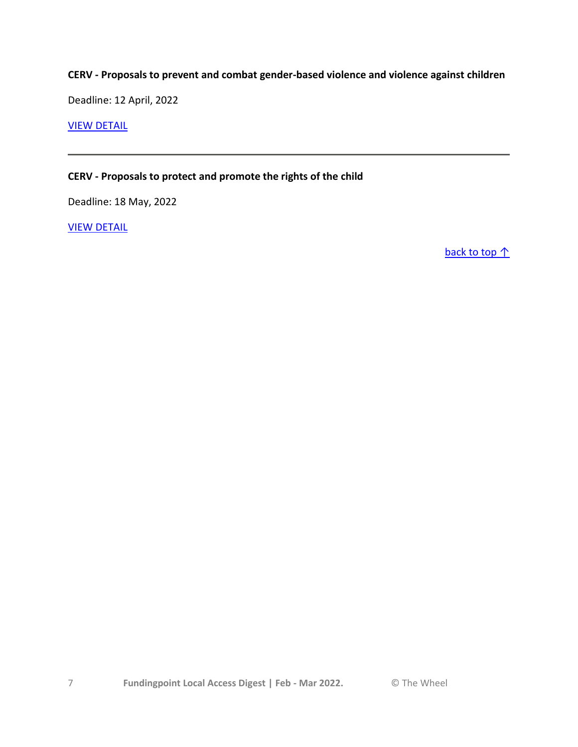# **CERV - Proposals to prevent and combat gender-based violence and violence against children**

Deadline: 12 April, 2022

### [VIEW DETAIL](https://www.accesseurope.ie/open-funds/cerv-proposals-to-prevent-and-combat-gender-based-violence-and-violence-against-children)

### **CERV - Proposals to protect and promote the rights of the child**

Deadline: 18 May, 2022

[VIEW DETAIL](https://www.accesseurope.ie/open-funds/cerv-proposals-to-protect-and-promote-the-rights-of-the-child)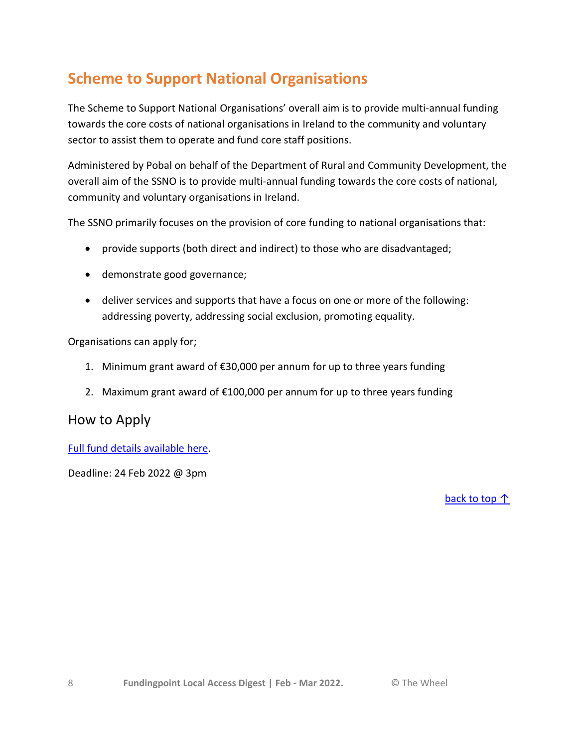# <span id="page-7-0"></span>**Scheme to Support National Organisations**

The Scheme to Support National Organisations' overall aim is to provide multi-annual funding towards the core costs of national organisations in Ireland to the community and voluntary sector to assist them to operate and fund core staff positions.

Administered by Pobal on behalf of the Department of Rural and Community Development, the overall aim of the SSNO is to provide multi-annual funding towards the core costs of national, community and voluntary organisations in Ireland.

The SSNO primarily focuses on the provision of core funding to national organisations that:

- provide supports (both direct and indirect) to those who are disadvantaged;
- demonstrate good governance;
- deliver services and supports that have a focus on one or more of the following: addressing poverty, addressing social exclusion, promoting equality.

Organisations can apply for;

- 1. Minimum grant award of €30,000 per annum for up to three years funding
- 2. Maximum grant award of €100,000 per annum for up to three years funding

# How to Apply

[Full fund details available here.](https://www.pobal.ie/programmes/scheme-to-support-national-organisations-ssno/)

Deadline: 24 Feb 2022 @ 3pm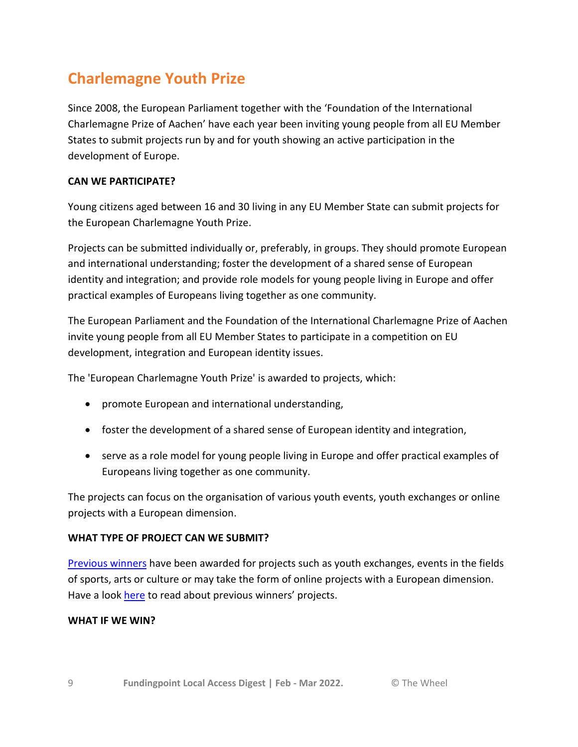# <span id="page-8-0"></span>**Charlemagne Youth Prize**

Since 2008, the European Parliament together with the 'Foundation of the International Charlemagne Prize of Aachen' have each year been inviting young people from all EU Member States to submit projects run by and for youth showing an active participation in the development of Europe.

# **CAN WE PARTICIPATE?**

Young citizens aged between 16 and 30 living in any EU Member State can submit projects for the European Charlemagne Youth Prize.

Projects can be submitted individually or, preferably, in groups. They should promote European and international understanding; foster the development of a shared sense of European identity and integration; and provide role models for young people living in Europe and offer practical examples of Europeans living together as one community.

The European Parliament and the Foundation of the International Charlemagne Prize of Aachen invite young people from all EU Member States to participate in a competition on EU development, integration and European identity issues.

The 'European Charlemagne Youth Prize' is awarded to projects, which:

- promote European and international understanding,
- foster the development of a shared sense of European identity and integration,
- serve as a role model for young people living in Europe and offer practical examples of Europeans living together as one community.

The projects can focus on the organisation of various youth events, youth exchanges or online projects with a European dimension.

### **WHAT TYPE OF PROJECT CAN WE SUBMIT?**

[Previous winners](https://www.europarl.europa.eu/charlemagneyouthprize/en/previous-laureates.html) have been awarded for projects such as youth exchanges, events in the fields of sports, arts or culture or may take the form of online projects with a European dimension. Have a look [here](https://www.europarl.europa.eu/charlemagneyouthprize/en/previous-laureates.html) to read about previous winners' projects.

### **WHAT IF WE WIN?**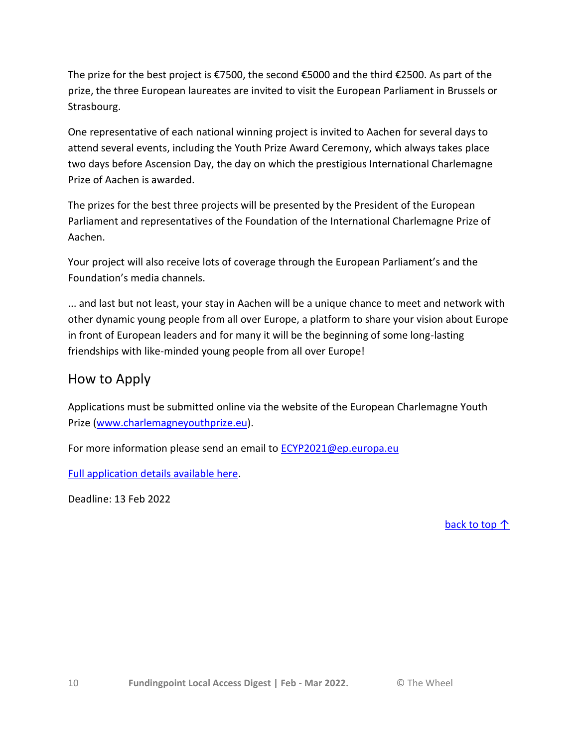The prize for the best project is €7500, the second €5000 and the third €2500. As part of the prize, the three European laureates are invited to visit the European Parliament in Brussels or Strasbourg.

One representative of each national winning project is invited to Aachen for several days to attend several events, including the Youth Prize Award Ceremony, which always takes place two days before Ascension Day, the day on which the prestigious International Charlemagne Prize of Aachen is awarded.

The prizes for the best three projects will be presented by the President of the European Parliament and representatives of the Foundation of the International Charlemagne Prize of Aachen.

Your project will also receive lots of coverage through the European Parliament's and the Foundation's media channels.

... and last but not least, your stay in Aachen will be a unique chance to meet and network with other dynamic young people from all over Europe, a platform to share your vision about Europe in front of European leaders and for many it will be the beginning of some long-lasting friendships with like-minded young people from all over Europe!

# How to Apply

Applications must be submitted online via the website of the European Charlemagne Youth Prize [\(www.charlemagneyouthprize.eu\)](http://www.charlemagneyouthprize.eu/).

For more information please send an email to **[ECYP2021@ep.europa.eu](mailto:ECYP2021@ep.europa.eu)** 

[Full application details available here.](https://www.europarl.europa.eu/charlemagneyouthprize)

Deadline: 13 Feb 2022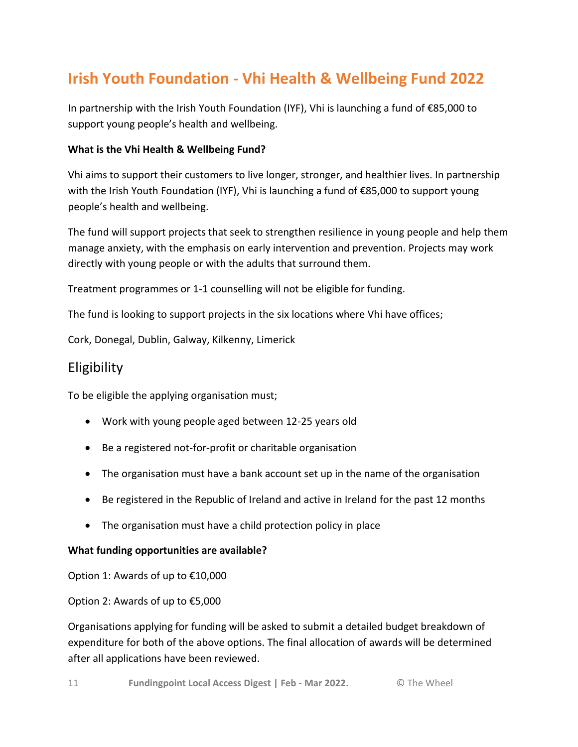# <span id="page-10-0"></span>**Irish Youth Foundation - Vhi Health & Wellbeing Fund 2022**

In partnership with the Irish Youth Foundation (IYF), Vhi is launching a fund of €85,000 to support young people's health and wellbeing.

## **What is the Vhi Health & Wellbeing Fund?**

Vhi aims to support their customers to live longer, stronger, and healthier lives. In partnership with the Irish Youth Foundation (IYF), Vhi is launching a fund of €85,000 to support young people's health and wellbeing.

The fund will support projects that seek to strengthen resilience in young people and help them manage anxiety, with the emphasis on early intervention and prevention. Projects may work directly with young people or with the adults that surround them.

Treatment programmes or 1-1 counselling will not be eligible for funding.

The fund is looking to support projects in the six locations where Vhi have offices;

Cork, Donegal, Dublin, Galway, Kilkenny, Limerick

# Eligibility

To be eligible the applying organisation must;

- Work with young people aged between 12-25 years old
- Be a registered not-for-profit or charitable organisation
- The organisation must have a bank account set up in the name of the organisation
- Be registered in the Republic of Ireland and active in Ireland for the past 12 months
- The organisation must have a child protection policy in place

### **What funding opportunities are available?**

Option 1: Awards of up to €10,000

Option 2: Awards of up to €5,000

Organisations applying for funding will be asked to submit a detailed budget breakdown of expenditure for both of the above options. The final allocation of awards will be determined after all applications have been reviewed.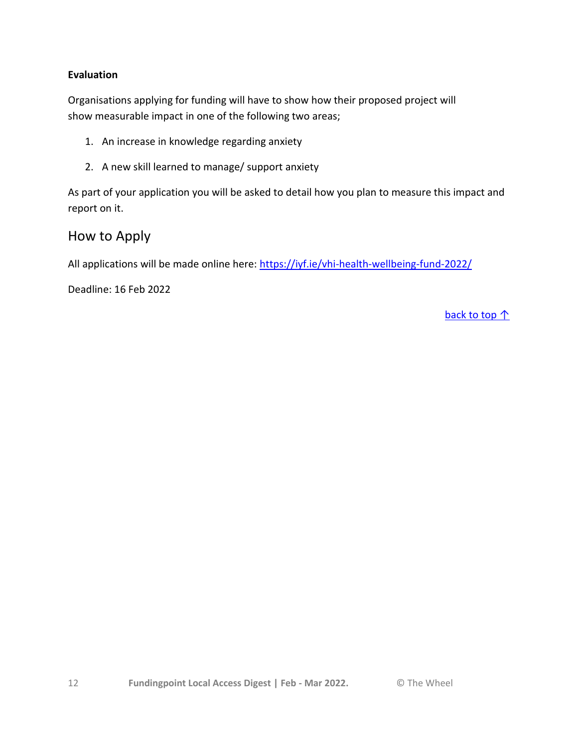## **Evaluation**

Organisations applying for funding will have to show how their proposed project will show measurable impact in one of the following two areas;

- 1. An increase in knowledge regarding anxiety
- 2. A new skill learned to manage/ support anxiety

As part of your application you will be asked to detail how you plan to measure this impact and report on it.

# How to Apply

All applications will be made online here: <https://iyf.ie/vhi-health-wellbeing-fund-2022/>

Deadline: 16 Feb 2022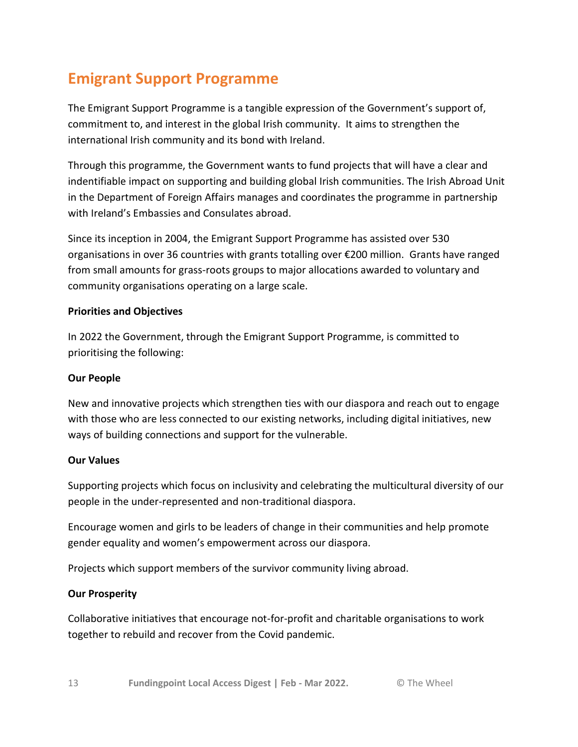# <span id="page-12-0"></span>**Emigrant Support Programme**

The Emigrant Support Programme is a tangible expression of the Government's support of, commitment to, and interest in the global Irish community. It aims to strengthen the international Irish community and its bond with Ireland.

Through this programme, the Government wants to fund projects that will have a clear and indentifiable impact on supporting and building global Irish communities. The Irish Abroad Unit in the Department of Foreign Affairs manages and coordinates the programme in partnership with Ireland's Embassies and Consulates abroad.

Since its inception in 2004, the Emigrant Support Programme has assisted over 530 organisations in over 36 countries with grants totalling over €200 million. Grants have ranged from small amounts for grass-roots groups to major allocations awarded to voluntary and community organisations operating on a large scale.

## **Priorities and Objectives**

In 2022 the Government, through the Emigrant Support Programme, is committed to prioritising the following:

### **Our People**

New and innovative projects which strengthen ties with our diaspora and reach out to engage with those who are less connected to our existing networks, including digital initiatives, new ways of building connections and support for the vulnerable.

### **Our Values**

Supporting projects which focus on inclusivity and celebrating the multicultural diversity of our people in the under-represented and non-traditional diaspora.

Encourage women and girls to be leaders of change in their communities and help promote gender equality and women's empowerment across our diaspora.

Projects which support members of the survivor community living abroad.

### **Our Prosperity**

Collaborative initiatives that encourage not-for-profit and charitable organisations to work together to rebuild and recover from the Covid pandemic.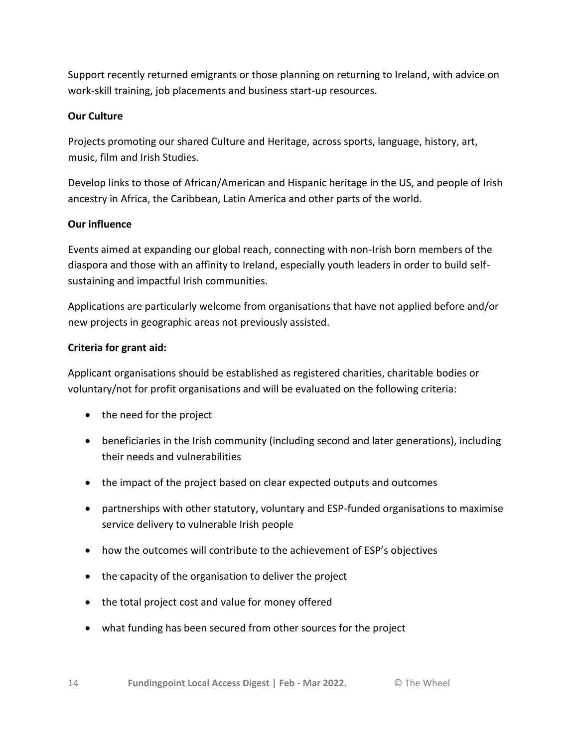Support recently returned emigrants or those planning on returning to Ireland, with advice on work-skill training, job placements and business start-up resources.

# **Our Culture**

Projects promoting our shared Culture and Heritage, across sports, language, history, art, music, film and Irish Studies.

Develop links to those of African/American and Hispanic heritage in the US, and people of Irish ancestry in Africa, the Caribbean, Latin America and other parts of the world.

# **Our influence**

Events aimed at expanding our global reach, connecting with non-Irish born members of the diaspora and those with an affinity to Ireland, especially youth leaders in order to build selfsustaining and impactful Irish communities.

Applications are particularly welcome from organisations that have not applied before and/or new projects in geographic areas not previously assisted.

# **Criteria for grant aid:**

Applicant organisations should be established as registered charities, charitable bodies or voluntary/not for profit organisations and will be evaluated on the following criteria:

- the need for the project
- beneficiaries in the Irish community (including second and later generations), including their needs and vulnerabilities
- the impact of the project based on clear expected outputs and outcomes
- partnerships with other statutory, voluntary and ESP-funded organisations to maximise service delivery to vulnerable Irish people
- how the outcomes will contribute to the achievement of ESP's objectives
- the capacity of the organisation to deliver the project
- the total project cost and value for money offered
- what funding has been secured from other sources for the project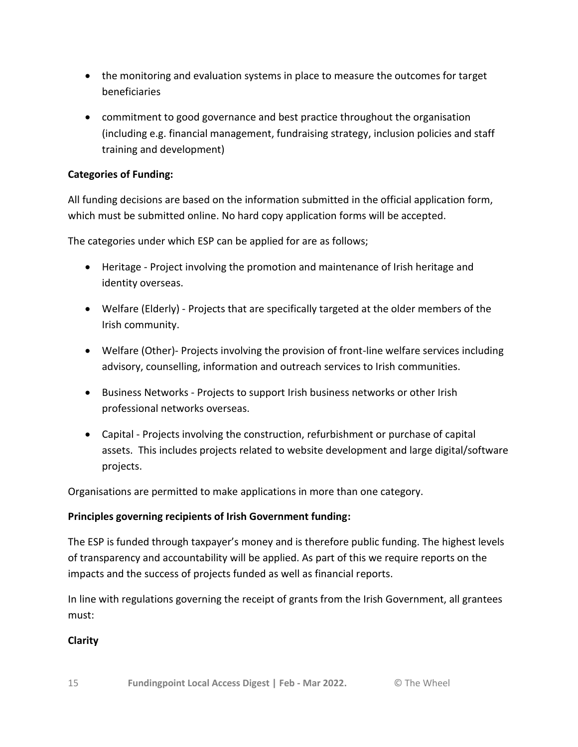- the monitoring and evaluation systems in place to measure the outcomes for target beneficiaries
- commitment to good governance and best practice throughout the organisation (including e.g. financial management, fundraising strategy, inclusion policies and staff training and development)

# **Categories of Funding:**

All funding decisions are based on the information submitted in the official application form, which must be submitted online. No hard copy application forms will be accepted.

The categories under which ESP can be applied for are as follows;

- Heritage Project involving the promotion and maintenance of Irish heritage and identity overseas.
- Welfare (Elderly) Projects that are specifically targeted at the older members of the Irish community.
- Welfare (Other)- Projects involving the provision of front-line welfare services including advisory, counselling, information and outreach services to Irish communities.
- Business Networks Projects to support Irish business networks or other Irish professional networks overseas.
- Capital Projects involving the construction, refurbishment or purchase of capital assets. This includes projects related to website development and large digital/software projects.

Organisations are permitted to make applications in more than one category.

# **Principles governing recipients of Irish Government funding:**

The ESP is funded through taxpayer's money and is therefore public funding. The highest levels of transparency and accountability will be applied. As part of this we require reports on the impacts and the success of projects funded as well as financial reports.

In line with regulations governing the receipt of grants from the Irish Government, all grantees must:

# **Clarity**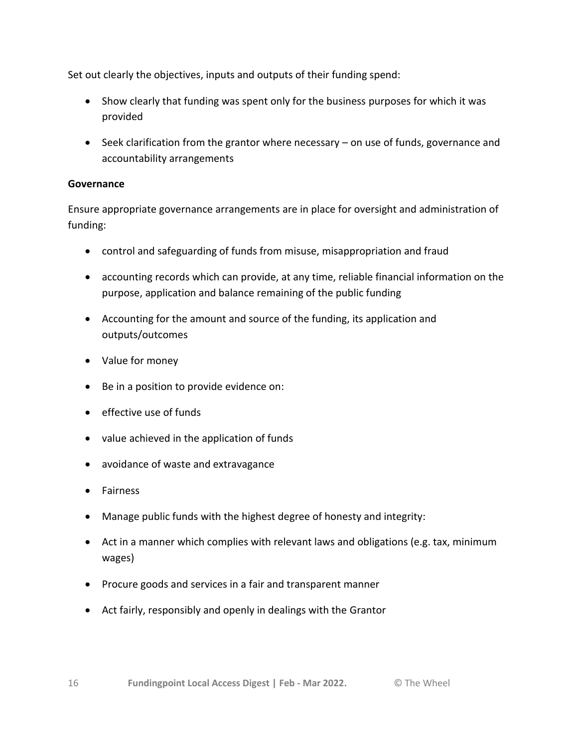Set out clearly the objectives, inputs and outputs of their funding spend:

- Show clearly that funding was spent only for the business purposes for which it was provided
- Seek clarification from the grantor where necessary on use of funds, governance and accountability arrangements

# **Governance**

Ensure appropriate governance arrangements are in place for oversight and administration of funding:

- control and safeguarding of funds from misuse, misappropriation and fraud
- accounting records which can provide, at any time, reliable financial information on the purpose, application and balance remaining of the public funding
- Accounting for the amount and source of the funding, its application and outputs/outcomes
- Value for money
- Be in a position to provide evidence on:
- effective use of funds
- value achieved in the application of funds
- avoidance of waste and extravagance
- **•** Fairness
- Manage public funds with the highest degree of honesty and integrity:
- Act in a manner which complies with relevant laws and obligations (e.g. tax, minimum wages)
- Procure goods and services in a fair and transparent manner
- Act fairly, responsibly and openly in dealings with the Grantor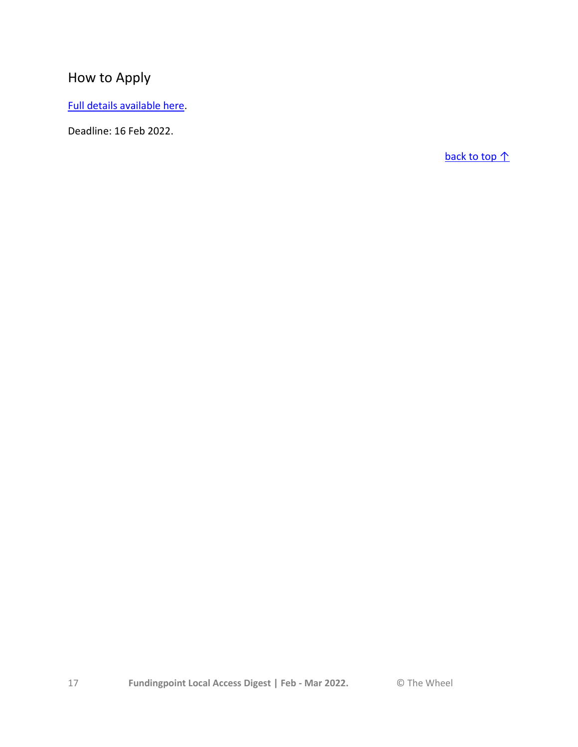# How to Apply

[Full details available here.](https://www.dfa.ie/global-irish/support-overseas/emigrant-support-programme/)

Deadline: 16 Feb 2022.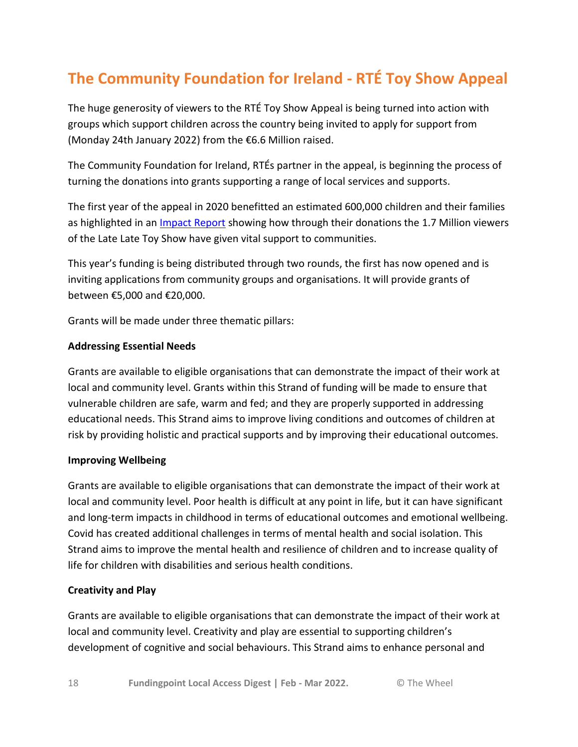# <span id="page-17-0"></span>**The Community Foundation for Ireland - RTÉ Toy Show Appeal**

The huge generosity of viewers to the RTÉ Toy Show Appeal is being turned into action with groups which support children across the country being invited to apply for support from (Monday 24th January 2022) from the €6.6 Million raised.

The Community Foundation for Ireland, RTÉs partner in the appeal, is beginning the process of turning the donations into grants supporting a range of local services and supports.

The first year of the appeal in 2020 benefitted an estimated 600,000 children and their families as highlighted in an *[Impact Report](https://about.rte.ie/wp-content/uploads/2021/11/RTE-Toy-Show-Appeal-Impact-Report.pdf)* showing how through their donations the 1.7 Million viewers of the Late Late Toy Show have given vital support to communities.

This year's funding is being distributed through two rounds, the first has now opened and is inviting applications from community groups and organisations. It will provide grants of between €5,000 and €20,000.

Grants will be made under three thematic pillars:

### **Addressing Essential Needs**

Grants are available to eligible organisations that can demonstrate the impact of their work at local and community level. Grants within this Strand of funding will be made to ensure that vulnerable children are safe, warm and fed; and they are properly supported in addressing educational needs. This Strand aims to improve living conditions and outcomes of children at risk by providing holistic and practical supports and by improving their educational outcomes.

### **Improving Wellbeing**

Grants are available to eligible organisations that can demonstrate the impact of their work at local and community level. Poor health is difficult at any point in life, but it can have significant and long-term impacts in childhood in terms of educational outcomes and emotional wellbeing. Covid has created additional challenges in terms of mental health and social isolation. This Strand aims to improve the mental health and resilience of children and to increase quality of life for children with disabilities and serious health conditions.

# **Creativity and Play**

Grants are available to eligible organisations that can demonstrate the impact of their work at local and community level. Creativity and play are essential to supporting children's development of cognitive and social behaviours. This Strand aims to enhance personal and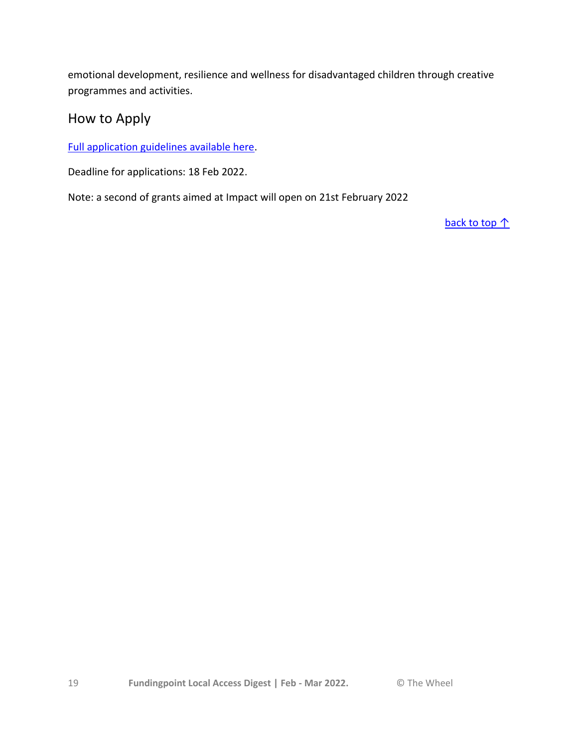emotional development, resilience and wellness for disadvantaged children through creative programmes and activities.

# How to Apply

[Full application guidelines available here.](https://www.communityfoundation.ie/grants/types-of-grants/rte-toy-show-fund)

Deadline for applications: 18 Feb 2022.

Note: a second of grants aimed at Impact will open on 21st February 2022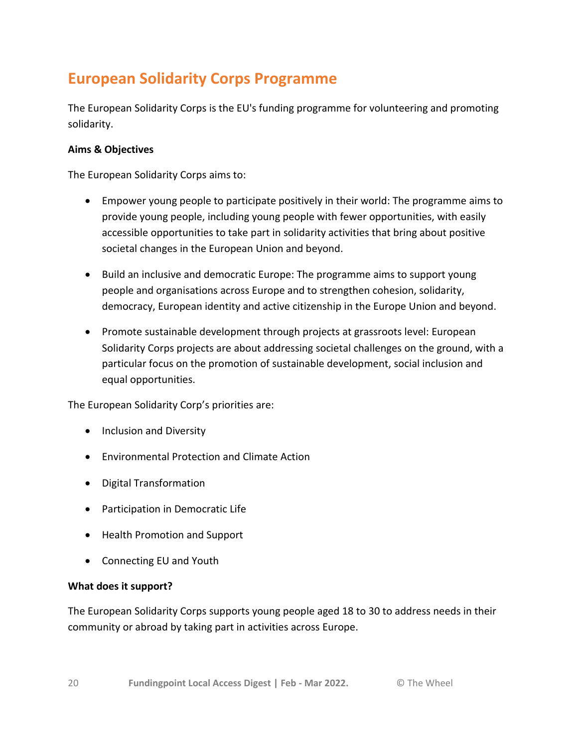# <span id="page-19-0"></span>**European Solidarity Corps Programme**

The European Solidarity Corps is the EU's funding programme for volunteering and promoting solidarity.

## **Aims & Objectives**

The European Solidarity Corps aims to:

- Empower young people to participate positively in their world: The programme aims to provide young people, including young people with fewer opportunities, with easily accessible opportunities to take part in solidarity activities that bring about positive societal changes in the European Union and beyond.
- Build an inclusive and democratic Europe: The programme aims to support young people and organisations across Europe and to strengthen cohesion, solidarity, democracy, European identity and active citizenship in the Europe Union and beyond.
- Promote sustainable development through projects at grassroots level: European Solidarity Corps projects are about addressing societal challenges on the ground, with a particular focus on the promotion of sustainable development, social inclusion and equal opportunities.

The European Solidarity Corp's priorities are:

- Inclusion and Diversity
- Environmental Protection and Climate Action
- Digital Transformation
- Participation in Democratic Life
- Health Promotion and Support
- Connecting EU and Youth

### **What does it support?**

The European Solidarity Corps supports young people aged 18 to 30 to address needs in their community or abroad by taking part in activities across Europe.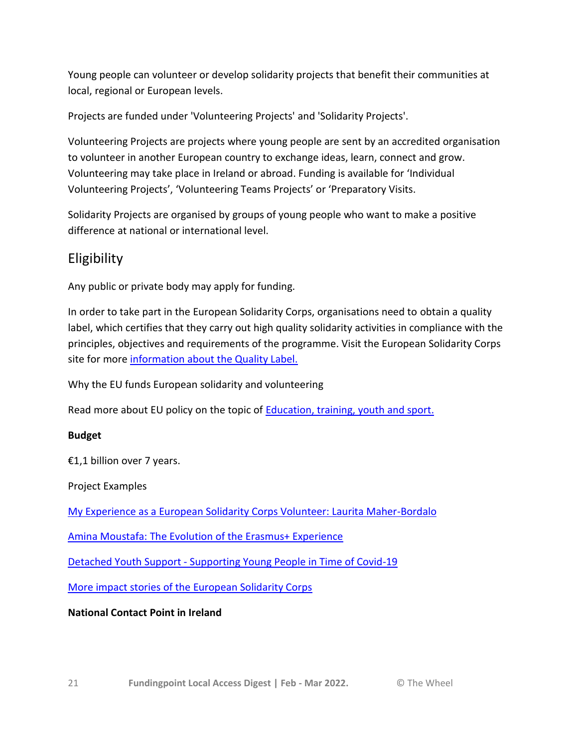Young people can volunteer or develop solidarity projects that benefit their communities at local, regional or European levels.

Projects are funded under 'Volunteering Projects' and 'Solidarity Projects'.

Volunteering Projects are projects where young people are sent by an accredited organisation to volunteer in another European country to exchange ideas, learn, connect and grow. Volunteering may take place in Ireland or abroad. Funding is available for 'Individual Volunteering Projects', 'Volunteering Teams Projects' or 'Preparatory Visits.

Solidarity Projects are organised by groups of young people who want to make a positive difference at national or international level.

# Eligibility

Any public or private body may apply for funding.

In order to take part in the European Solidarity Corps, organisations need to obtain a quality label, which certifies that they carry out high quality solidarity activities in compliance with the principles, objectives and requirements of the programme. Visit the European Solidarity Corps site for more [information about the Quality Label.](https://europa.eu/youth/solidarity/organisations/quality-label_en)

Why the EU funds European solidarity and volunteering

Read more about EU policy on the topic of [Education, training, youth and sport.](https://www.accesseurope.ie/funding-guides/education-training-and-youth)

# **Budget**

€1,1 billion over 7 years.

Project Examples

My Experience [as a European Solidarity Corps Volunteer: Laurita Maher-Bordalo](https://blog.leargas.ie/blog/my-experience-as-a-european-solidarity-corps-volunteer-laurita-maher-bordalo?hsLang=en-ie)

[Amina Moustafa: The Evolution of the Erasmus+ Experience](https://blog.leargas.ie/blog/amina-moustafa-the-evolution-of-the-erasmus-experience?hsLang=en-ie)

Detached Youth Support - [Supporting Young People in Time of Covid-19](https://blog.leargas.ie/blog/detached-youth-support-supporting-young-people-in-time-of-covid-19?hsLang=en-ie)

[More impact stories of the European Solidarity Corps](https://www.leargas.ie/impact-stories/)

# **National Contact Point in Ireland**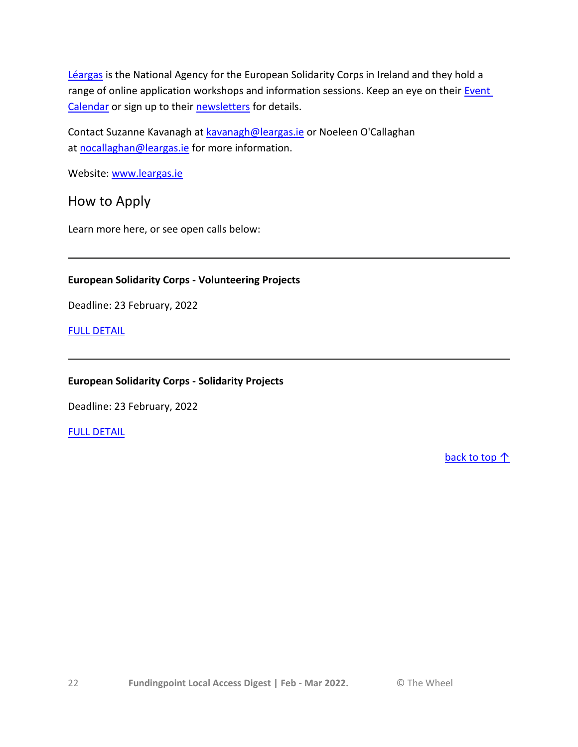[Léargas](http://www.leargas.ie/) is the National Agency for the European Solidarity Corps in Ireland and they hold a range of online application workshops and information sessions. Keep an eye on their Event [Calendar](https://www.leargas.ie/training-and-events/) or sign up to their [newsletters](https://insights.leargas.ie/newsletter-signup?hsLang=en-ie) for details.

Contact Suzanne Kavanagh at [kavanagh@leargas.ie](mailto:kavanagh@leargas.ie) or Noeleen O'Callaghan at [nocallaghan@leargas.ie](mailto:nocallaghan@leargas.ie) for more information.

Website: [www.leargas.ie](http://www.leargas.ie/)

How to Apply

Learn more here, or see open calls below:

# **European Solidarity Corps - Volunteering Projects**

Deadline: 23 February, 2022

[FULL DETAIL](https://webgate.ec.europa.eu/app-forms/af-ui-opportunities/#/european-solidarity-corps)

# **European Solidarity Corps - Solidarity Projects**

Deadline: 23 February, 2022

### [FULL DETAIL](https://webgate.ec.europa.eu/app-forms/af-ui-opportunities/#/european-solidarity-corps)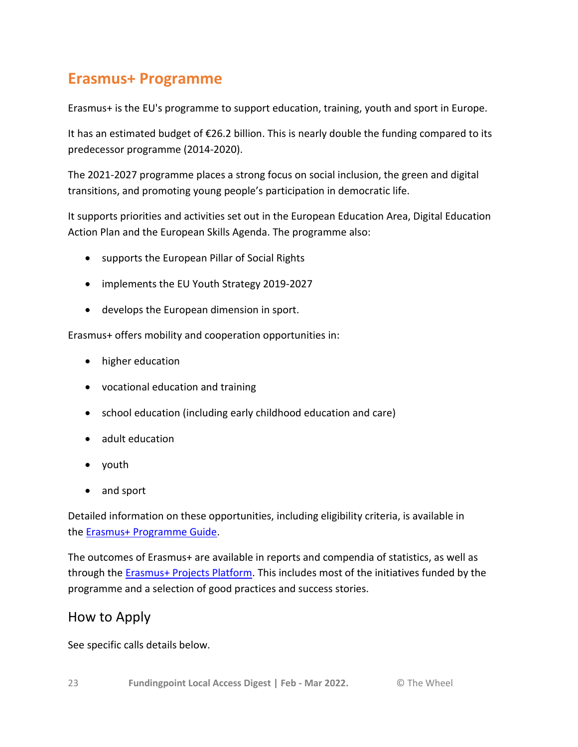# <span id="page-22-0"></span>**Erasmus+ Programme**

Erasmus+ is the EU's programme to support education, training, youth and sport in Europe.

It has an estimated budget of €26.2 billion. This is nearly double the funding compared to its predecessor programme (2014-2020).

The 2021-2027 programme places a strong focus on social inclusion, the green and digital transitions, and promoting young people's participation in democratic life.

It supports priorities and activities set out in the European Education Area, Digital Education Action Plan and the European Skills Agenda. The programme also:

- supports the European Pillar of Social Rights
- implements the EU Youth Strategy 2019-2027
- develops the European dimension in sport.

Erasmus+ offers mobility and cooperation opportunities in:

- higher education
- vocational education and training
- school education (including early childhood education and care)
- adult education
- youth
- and sport

Detailed information on these opportunities, including eligibility criteria, is available in the [Erasmus+ Programme Guide.](https://ec.europa.eu/programmes/erasmus-plus/resources/programme-guide_en)

The outcomes of Erasmus+ are available in reports and compendia of statistics, as well as through the **Erasmus+ Projects Platform**. This includes most of the initiatives funded by the programme and a selection of good practices and success stories.

# How to Apply

See specific calls details below.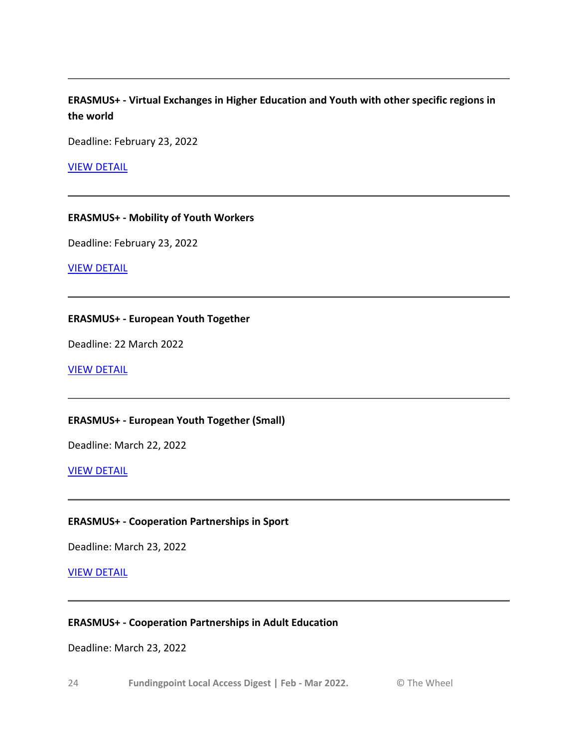# **ERASMUS+ - Virtual Exchanges in Higher Education and Youth with other specific regions in the world**

Deadline: February 23, 2022

[VIEW DETAIL](https://www.accesseurope.ie/open-funds/erasmus-virtual-exchanges-in-higher-education-and-youth-with-other-specific-regions-in-the-world)

#### **ERASMUS+ - Mobility of Youth Workers**

Deadline: February 23, 2022

[VIEW DETAIL](https://webgate.ec.europa.eu/app-forms/af-ui-opportunities/#/erasmus-plus/open-calls/key-action/43353406)

#### **ERASMUS+ - European Youth Together**

Deadline: 22 March 2022

[VIEW DETAIL](https://ec.europa.eu/info/funding-tenders/opportunities/portal/screen/opportunities/topic-details/erasmus-youth-2022-youth-tog-lot2;callCode=null;freeTextSearchKeyword=;matchWholeText=true;typeCodes=1,0;statusCodes=31094501,31094502;programmePeriod=2021%20-%202027;programCcm2Id=43353764;programDivisionCode=null;focusAreaCode=null;destination=null;mission=null;geographicalZonesCode=null;programmeDivisionProspect=null;startDateLte=null;startDateGte=null;crossCuttingPriorityCode=null;cpvCode=null;performanceOfDelivery=null;sortQuery=sortStatus;orderBy=asc;onlyTenders=false;topicListKey=topicSearchTablePageState)

### **ERASMUS+ - European Youth Together (Small)**

Deadline: March 22, 2022

[VIEW DETAIL](https://ec.europa.eu/info/funding-tenders/opportunities/portal/screen/opportunities/topic-details/erasmus-youth-2022-youth-tog-lot1;callCode=null;freeTextSearchKeyword=;matchWholeText=true;typeCodes=1,0;statusCodes=31094501,31094502;programmePeriod=2021%20-%202027;programCcm2Id=43353764;programDivisionCode=null;focusAreaCode=null;destination=null;mission=null;geographicalZonesCode=null;programmeDivisionProspect=null;startDateLte=null;startDateGte=null;crossCuttingPriorityCode=null;cpvCode=null;performanceOfDelivery=null;sortQuery=sortStatus;orderBy=asc;onlyTenders=false;topicListKey=topicSearchTablePageState)

### **ERASMUS+ - Cooperation Partnerships in Sport**

Deadline: March 23, 2022

#### [VIEW DETAIL](https://ec.europa.eu/info/funding-tenders/opportunities/portal/screen/opportunities/topic-details/erasmus-sport-2022-scp;callCode=null;freeTextSearchKeyword=;matchWholeText=true;typeCodes=1,0;statusCodes=31094501,31094502;programmePeriod=2021%20-%202027;programCcm2Id=43353764;programDivisionCode=null;focusAreaCode=null;destination=null;mission=null;geographicalZonesCode=null;programmeDivisionProspect=null;startDateLte=null;startDateGte=null;crossCuttingPriorityCode=null;cpvCode=null;performanceOfDelivery=null;sortQuery=sortStatus;orderBy=asc;onlyTenders=false;topicListKey=topicSearchTablePageState)

#### **ERASMUS+ - Cooperation Partnerships in Adult Education**

Deadline: March 23, 2022

24 **Fundingpoint Local Access Digest | Feb - Mar 2022.** © The Wheel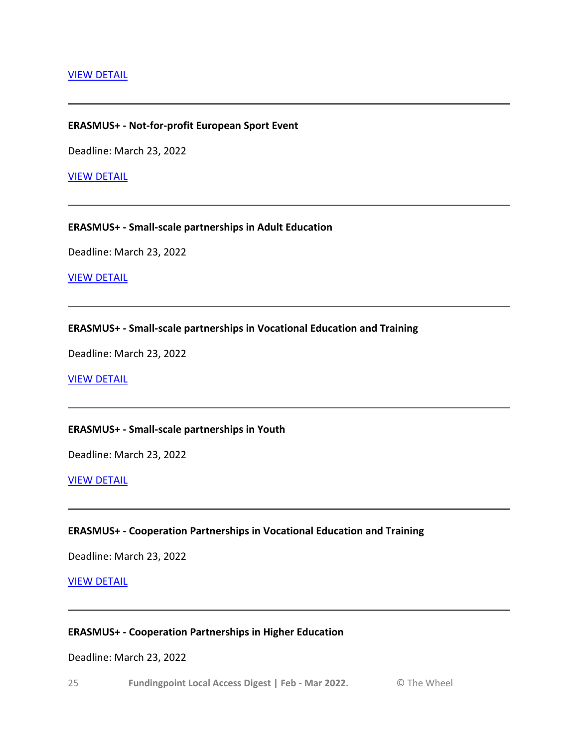#### [VIEW DETAIL](https://webgate.ec.europa.eu/app-forms/af-ui-opportunities/#/erasmus-plus/open-calls/key-action/43353410)

#### **ERASMUS+ - Not-for-profit European Sport Event**

Deadline: March 23, 2022

#### [VIEW DETAIL](https://ec.europa.eu/info/funding-tenders/opportunities/portal/screen/opportunities/topic-details/erasmus-sport-2022-sncese;callCode=null;freeTextSearchKeyword=;matchWholeText=true;typeCodes=1,0;statusCodes=31094501,31094502;programmePeriod=2021%20-%202027;programCcm2Id=43353764;programDivisionCode=null;focusAreaCode=null;destination=null;mission=null;geographicalZonesCode=null;programmeDivisionProspect=null;startDateLte=null;startDateGte=null;crossCuttingPriorityCode=null;cpvCode=null;performanceOfDelivery=null;sortQuery=sortStatus;orderBy=asc;onlyTenders=false;topicListKey=topicSearchTablePageState)

#### **ERASMUS+ - Small-scale partnerships in Adult Education**

Deadline: March 23, 2022

[VIEW DETAIL](https://webgate.ec.europa.eu/app-forms/af-ui-opportunities/#/erasmus-plus/open-calls/key-action/43353410)

#### **ERASMUS+ - Small-scale partnerships in Vocational Education and Training**

Deadline: March 23, 2022

#### [VIEW DETAIL](https://webgate.ec.europa.eu/app-forms/af-ui-opportunities/#/erasmus-plus/open-calls/key-action/43353410)

#### **ERASMUS+ - Small-scale partnerships in Youth**

Deadline: March 23, 2022

[VIEW DETAIL](https://webgate.ec.europa.eu/app-forms/af-ui-opportunities/#/erasmus-plus/open-calls/key-action/43353410)

#### **ERASMUS+ - Cooperation Partnerships in Vocational Education and Training**

Deadline: March 23, 2022

[VIEW DETAIL](https://webgate.ec.europa.eu/app-forms/af-ui-opportunities/#/erasmus-plus/open-calls/key-action/43353410)

#### **ERASMUS+ - Cooperation Partnerships in Higher Education**

#### Deadline: March 23, 2022

25 **Fundingpoint Local Access Digest | Feb - Mar 2022.** © The Wheel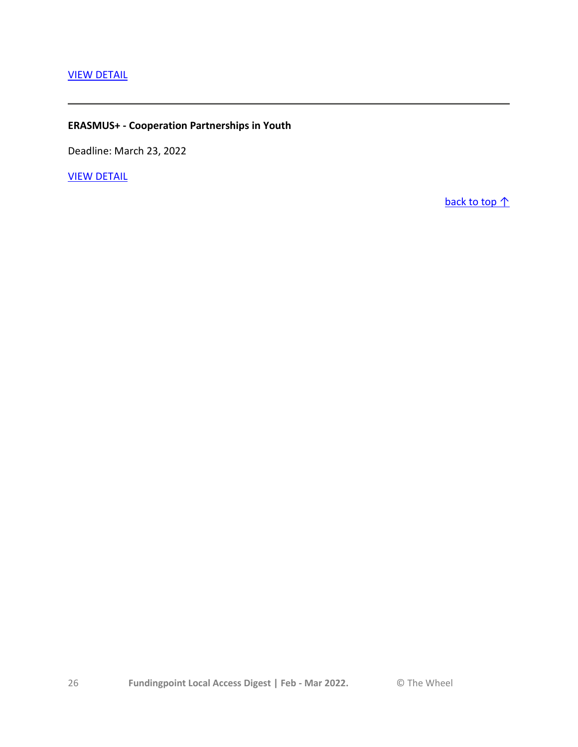# **ERASMUS+ - Cooperation Partnerships in Youth**

Deadline: March 23, 2022

[VIEW DETAIL](https://webgate.ec.europa.eu/app-forms/af-ui-opportunities/#/erasmus-plus/open-calls/key-action/43353410)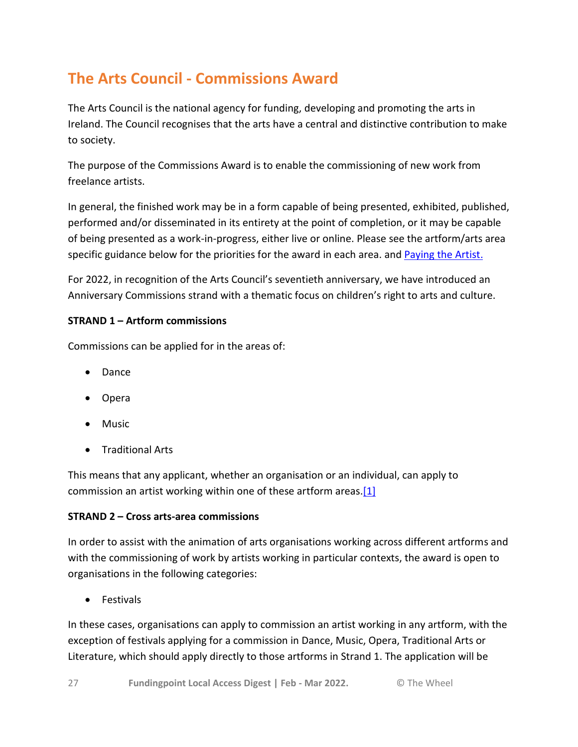# <span id="page-26-0"></span>**The Arts Council - Commissions Award**

The Arts Council is the national agency for funding, developing and promoting the arts in Ireland. The Council recognises that the arts have a central and distinctive contribution to make to society.

The purpose of the Commissions Award is to enable the commissioning of new work from freelance artists.

In general, the finished work may be in a form capable of being presented, exhibited, published, performed and/or disseminated in its entirety at the point of completion, or it may be capable of being presented as a work-in-progress, either live or online. Please see the artform/arts area specific guidance below for the priorities for the award in each area. and [Paying the Artist.](http://www.artscouncil.ie/uploadedFiles/Main_Site/Content/About_Us/Paying%20the%20Artist%20(Single%20Page%20-%20EN).pdf)

For 2022, in recognition of the Arts Council's seventieth anniversary, we have introduced an Anniversary Commissions strand with a thematic focus on children's right to arts and culture.

# **STRAND 1 – Artform commissions**

Commissions can be applied for in the areas of:

- Dance
- Opera
- Music
- Traditional Arts

This means that any applicant, whether an organisation or an individual, can apply to commission an artist working within one of these artform areas[.\[1\]](https://www.wheel.ie/funding/fundingpoint/scheme/arts-council-commissions-award-0#_ftn1)

# **STRAND 2 – Cross arts-area commissions**

In order to assist with the animation of arts organisations working across different artforms and with the commissioning of work by artists working in particular contexts, the award is open to organisations in the following categories:

• Festivals

In these cases, organisations can apply to commission an artist working in any artform, with the exception of festivals applying for a commission in Dance, Music, Opera, Traditional Arts or Literature, which should apply directly to those artforms in Strand 1. The application will be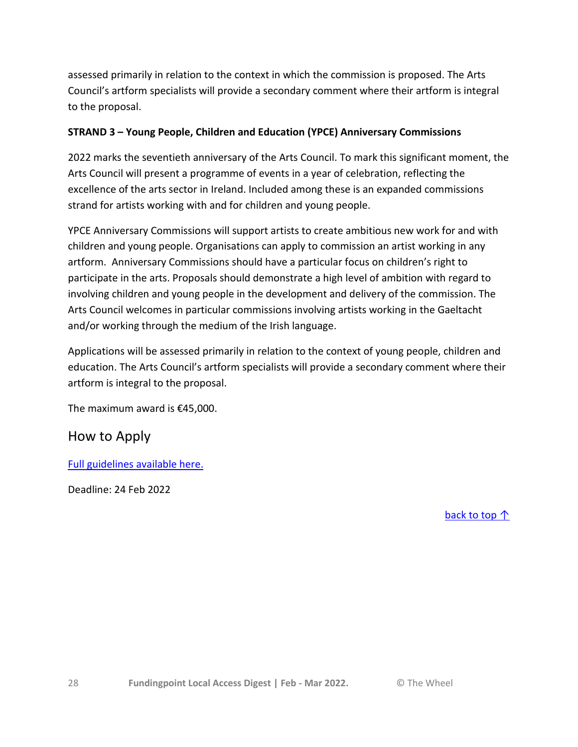assessed primarily in relation to the context in which the commission is proposed. The Arts Council's artform specialists will provide a secondary comment where their artform is integral to the proposal.

# **STRAND 3 – Young People, Children and Education (YPCE) Anniversary Commissions**

2022 marks the seventieth anniversary of the Arts Council. To mark this significant moment, the Arts Council will present a programme of events in a year of celebration, reflecting the excellence of the arts sector in Ireland. Included among these is an expanded commissions strand for artists working with and for children and young people.

YPCE Anniversary Commissions will support artists to create ambitious new work for and with children and young people. Organisations can apply to commission an artist working in any artform. Anniversary Commissions should have a particular focus on children's right to participate in the arts. Proposals should demonstrate a high level of ambition with regard to involving children and young people in the development and delivery of the commission. The Arts Council welcomes in particular commissions involving artists working in the Gaeltacht and/or working through the medium of the Irish language.

Applications will be assessed primarily in relation to the context of young people, children and education. The Arts Council's artform specialists will provide a secondary comment where their artform is integral to the proposal.

The maximum award is €45,000.

# How to Apply

[Full guidelines available here.](http://www.artscouncil.ie/Funds/Commissions-Award/)

Deadline: 24 Feb 2022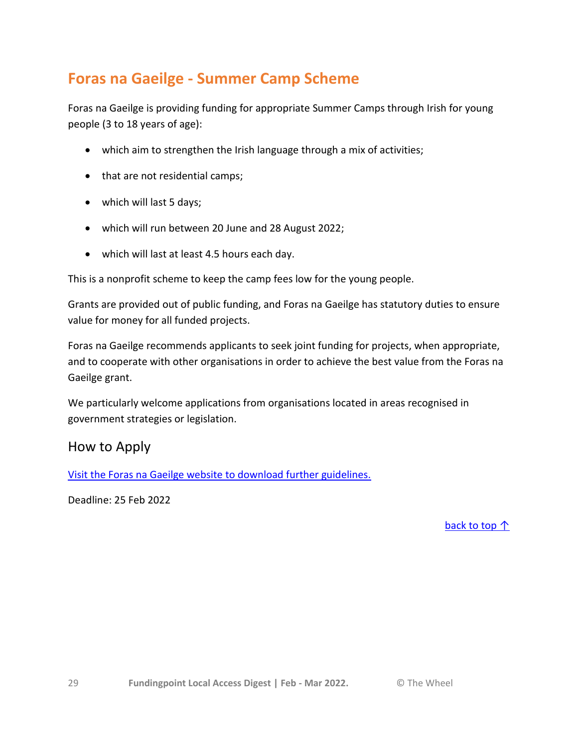# <span id="page-28-0"></span>**Foras na Gaeilge - Summer Camp Scheme**

Foras na Gaeilge is providing funding for appropriate Summer Camps through Irish for young people (3 to 18 years of age):

- which aim to strengthen the Irish language through a mix of activities;
- that are not residential camps;
- which will last 5 days;
- which will run between 20 June and 28 August 2022;
- which will last at least 4.5 hours each day.

This is a nonprofit scheme to keep the camp fees low for the young people.

Grants are provided out of public funding, and Foras na Gaeilge has statutory duties to ensure value for money for all funded projects.

Foras na Gaeilge recommends applicants to seek joint funding for projects, when appropriate, and to cooperate with other organisations in order to achieve the best value from the Foras na Gaeilge grant.

We particularly welcome applications from organisations located in areas recognised in government strategies or legislation.

# How to Apply

[Visit the Foras na Gaeilge website to download further guidelines.](https://www.forasnagaeilge.ie/funding-schemes/?lang=en)

Deadline: 25 Feb 2022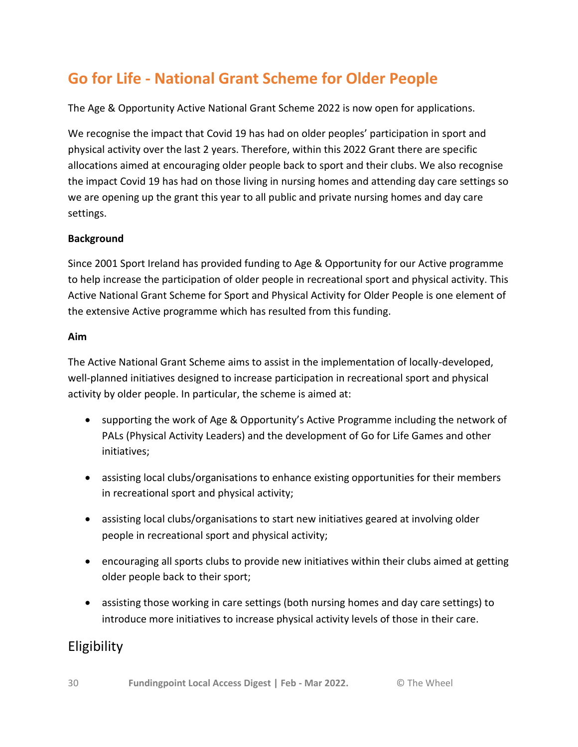# <span id="page-29-0"></span>**Go for Life - National Grant Scheme for Older People**

The Age & Opportunity Active National Grant Scheme 2022 is now open for applications.

We recognise the impact that Covid 19 has had on older peoples' participation in sport and physical activity over the last 2 years. Therefore, within this 2022 Grant there are specific allocations aimed at encouraging older people back to sport and their clubs. We also recognise the impact Covid 19 has had on those living in nursing homes and attending day care settings so we are opening up the grant this year to all public and private nursing homes and day care settings.

# **Background**

Since 2001 Sport Ireland has provided funding to Age & Opportunity for our Active programme to help increase the participation of older people in recreational sport and physical activity. This Active National Grant Scheme for Sport and Physical Activity for Older People is one element of the extensive Active programme which has resulted from this funding.

# **Aim**

The Active National Grant Scheme aims to assist in the implementation of locally-developed, well-planned initiatives designed to increase participation in recreational sport and physical activity by older people. In particular, the scheme is aimed at:

- supporting the work of Age & Opportunity's Active Programme including the network of PALs (Physical Activity Leaders) and the development of Go for Life Games and other initiatives;
- assisting local clubs/organisations to enhance existing opportunities for their members in recreational sport and physical activity;
- assisting local clubs/organisations to start new initiatives geared at involving older people in recreational sport and physical activity;
- encouraging all sports clubs to provide new initiatives within their clubs aimed at getting older people back to their sport;
- assisting those working in care settings (both nursing homes and day care settings) to introduce more initiatives to increase physical activity levels of those in their care.

# Eligibility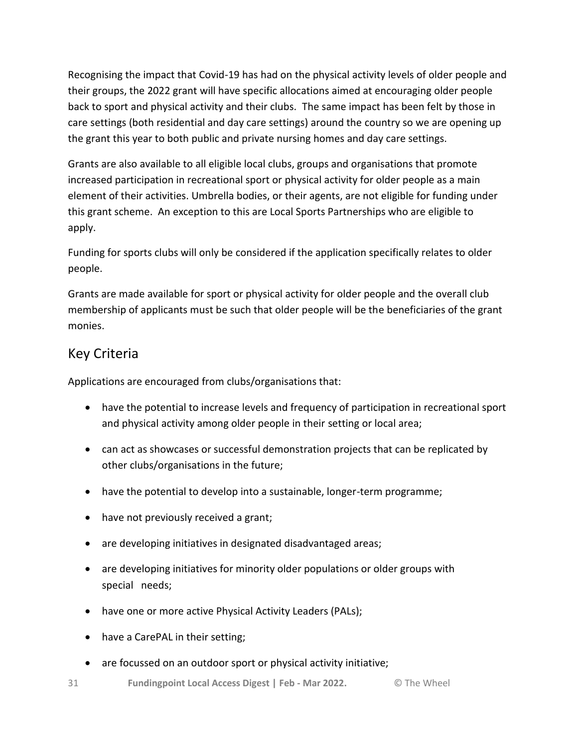Recognising the impact that Covid-19 has had on the physical activity levels of older people and their groups, the 2022 grant will have specific allocations aimed at encouraging older people back to sport and physical activity and their clubs. The same impact has been felt by those in care settings (both residential and day care settings) around the country so we are opening up the grant this year to both public and private nursing homes and day care settings.

Grants are also available to all eligible local clubs, groups and organisations that promote increased participation in recreational sport or physical activity for older people as a main element of their activities. Umbrella bodies, or their agents, are not eligible for funding under this grant scheme. An exception to this are Local Sports Partnerships who are eligible to apply.

Funding for sports clubs will only be considered if the application specifically relates to older people.

Grants are made available for sport or physical activity for older people and the overall club membership of applicants must be such that older people will be the beneficiaries of the grant monies.

# Key Criteria

Applications are encouraged from clubs/organisations that:

- have the potential to increase levels and frequency of participation in recreational sport and physical activity among older people in their setting or local area;
- can act as showcases or successful demonstration projects that can be replicated by other clubs/organisations in the future;
- have the potential to develop into a sustainable, longer-term programme;
- have not previously received a grant;
- are developing initiatives in designated disadvantaged areas;
- are developing initiatives for minority older populations or older groups with special needs;
- have one or more active Physical Activity Leaders (PALs);
- have a CarePAL in their setting;
- are focussed on an outdoor sport or physical activity initiative;
- 31 **Fundingpoint Local Access Digest | Feb - Mar 2022.** © The Wheel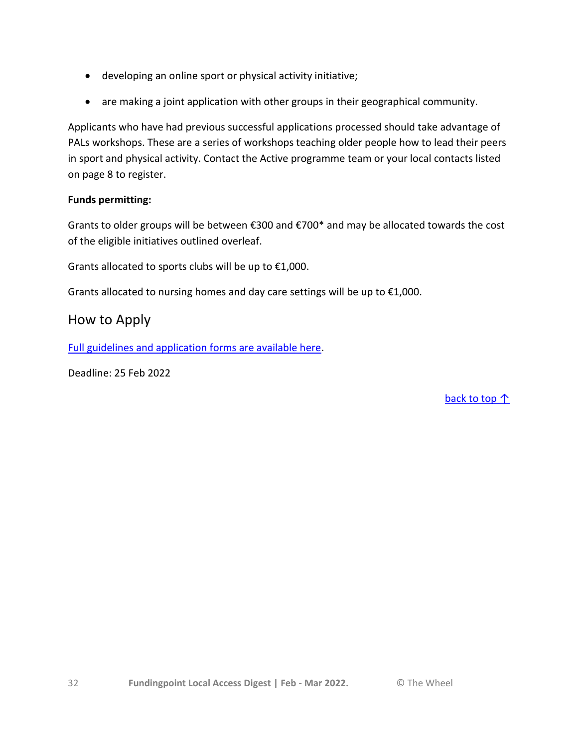- developing an online sport or physical activity initiative;
- are making a joint application with other groups in their geographical community.

Applicants who have had previous successful applications processed should take advantage of PALs workshops. These are a series of workshops teaching older people how to lead their peers in sport and physical activity. Contact the Active programme team or your local contacts listed on page 8 to register.

# **Funds permitting:**

Grants to older groups will be between €300 and €700\* and may be allocated towards the cost of the eligible initiatives outlined overleaf.

Grants allocated to sports clubs will be up to  $£1,000$ .

Grants allocated to nursing homes and day care settings will be up to  $£1,000$ .

# How to Apply

[Full guidelines and application forms are available here.](https://ageandopportunity.ie/active/age-and-opportunity-active-national-grant-scheme/)

Deadline: 25 Feb 2022

back t[o top ↑](#page-0-0)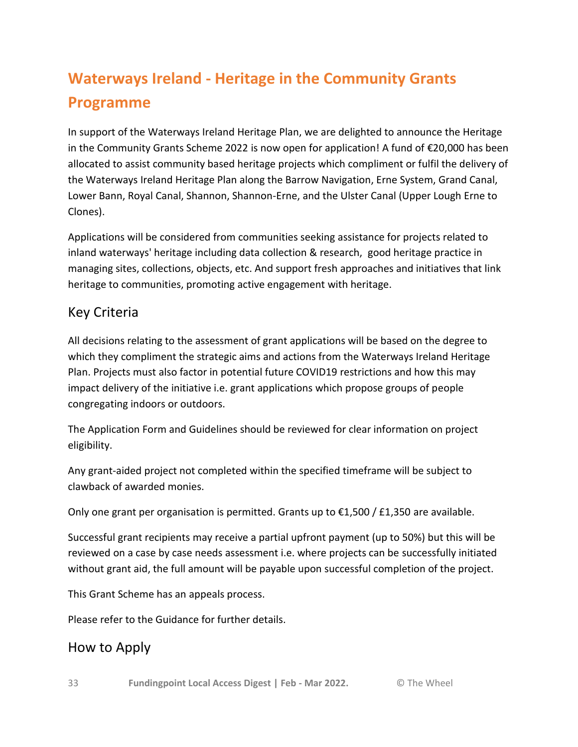# <span id="page-32-0"></span>**Waterways Ireland - Heritage in the Community Grants Programme**

In support of the Waterways Ireland Heritage Plan, we are delighted to announce the Heritage in the Community Grants Scheme 2022 is now open for application! A fund of €20,000 has been allocated to assist community based heritage projects which compliment or fulfil the delivery of the Waterways Ireland Heritage Plan along the Barrow Navigation, Erne System, Grand Canal, Lower Bann, Royal Canal, Shannon, Shannon-Erne, and the Ulster Canal (Upper Lough Erne to Clones).

Applications will be considered from communities seeking assistance for projects related to inland waterways' heritage including data collection & research, good heritage practice in managing sites, collections, objects, etc. And support fresh approaches and initiatives that link heritage to communities, promoting active engagement with heritage.

# Key Criteria

All decisions relating to the assessment of grant applications will be based on the degree to which they compliment the strategic aims and actions from the Waterways Ireland Heritage Plan. Projects must also factor in potential future COVID19 restrictions and how this may impact delivery of the initiative i.e. grant applications which propose groups of people congregating indoors or outdoors.

The Application Form and Guidelines should be reviewed for clear information on project eligibility.

Any grant-aided project not completed within the specified timeframe will be subject to clawback of awarded monies.

Only one grant per organisation is permitted. Grants up to  $\epsilon$ 1,500 / £1,350 are available.

Successful grant recipients may receive a partial upfront payment (up to 50%) but this will be reviewed on a case by case needs assessment i.e. where projects can be successfully initiated without grant aid, the full amount will be payable upon successful completion of the project.

This Grant Scheme has an appeals process.

Please refer to the Guidance for further details.

# How to Apply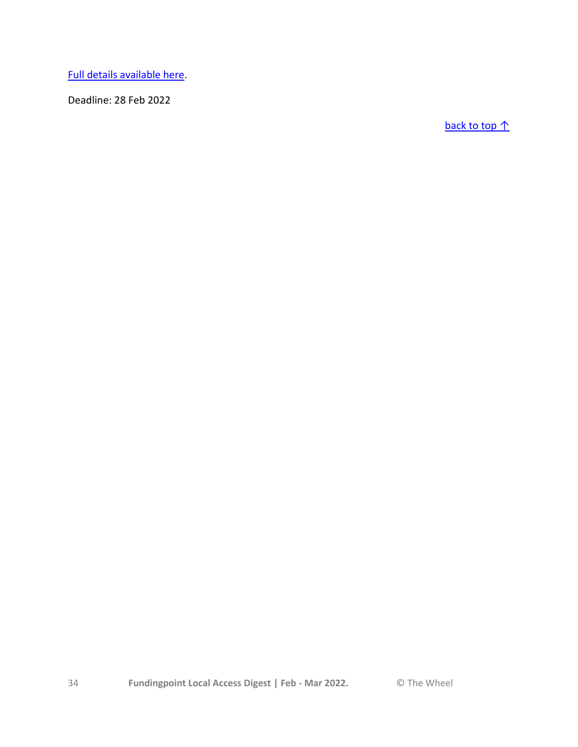[Full details available here.](https://www.waterwaysireland.org/Heritage-Grant)

Deadline: 28 Feb 2022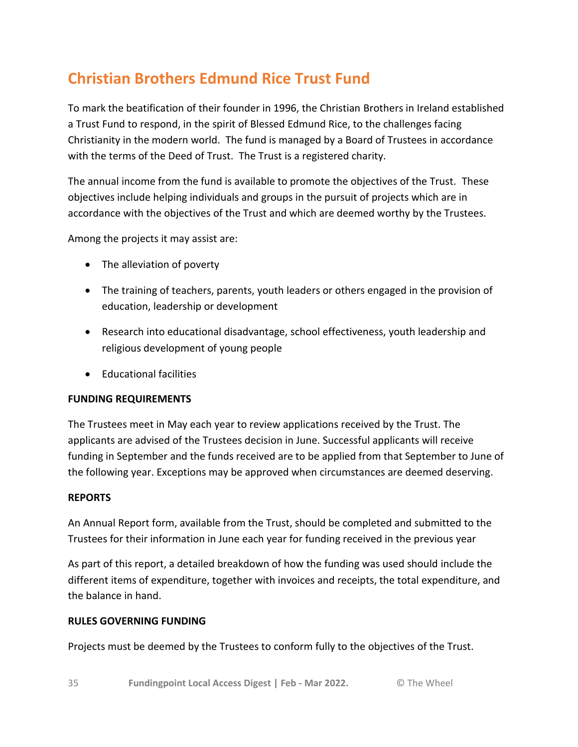# <span id="page-34-0"></span>**Christian Brothers Edmund Rice Trust Fund**

To mark the beatification of their founder in 1996, the Christian Brothers in Ireland established a Trust Fund to respond, in the spirit of Blessed Edmund Rice, to the challenges facing Christianity in the modern world. The fund is managed by a Board of Trustees in accordance with the terms of the Deed of Trust. The Trust is a registered charity.

The annual income from the fund is available to promote the objectives of the Trust. These objectives include helping individuals and groups in the pursuit of projects which are in accordance with the objectives of the Trust and which are deemed worthy by the Trustees.

Among the projects it may assist are:

- The alleviation of poverty
- The training of teachers, parents, youth leaders or others engaged in the provision of education, leadership or development
- Research into educational disadvantage, school effectiveness, youth leadership and religious development of young people
- Educational facilities

# **FUNDING REQUIREMENTS**

The Trustees meet in May each year to review applications received by the Trust. The applicants are advised of the Trustees decision in June. Successful applicants will receive funding in September and the funds received are to be applied from that September to June of the following year. Exceptions may be approved when circumstances are deemed deserving.

# **REPORTS**

An Annual Report form, available from the Trust, should be completed and submitted to the Trustees for their information in June each year for funding received in the previous year

As part of this report, a detailed breakdown of how the funding was used should include the different items of expenditure, together with invoices and receipts, the total expenditure, and the balance in hand.

### **RULES GOVERNING FUNDING**

Projects must be deemed by the Trustees to conform fully to the objectives of the Trust.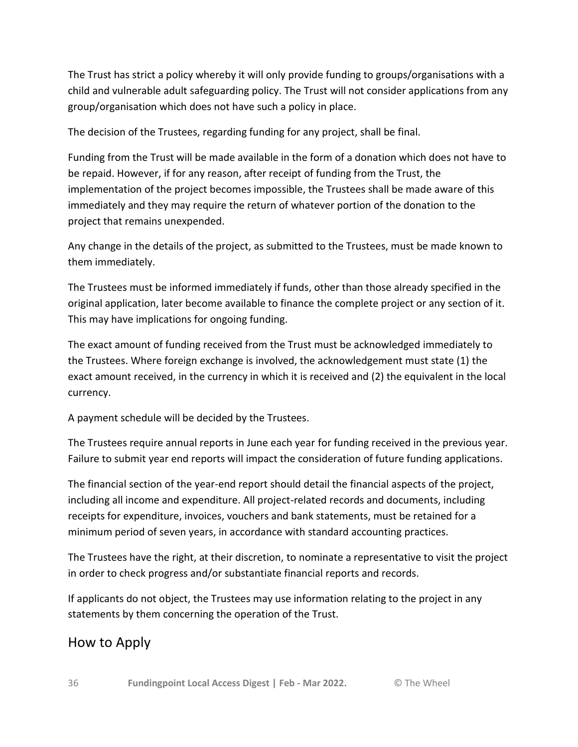The Trust has strict a policy whereby it will only provide funding to groups/organisations with a child and vulnerable adult safeguarding policy. The Trust will not consider applications from any group/organisation which does not have such a policy in place.

The decision of the Trustees, regarding funding for any project, shall be final.

Funding from the Trust will be made available in the form of a donation which does not have to be repaid. However, if for any reason, after receipt of funding from the Trust, the implementation of the project becomes impossible, the Trustees shall be made aware of this immediately and they may require the return of whatever portion of the donation to the project that remains unexpended.

Any change in the details of the project, as submitted to the Trustees, must be made known to them immediately.

The Trustees must be informed immediately if funds, other than those already specified in the original application, later become available to finance the complete project or any section of it. This may have implications for ongoing funding.

The exact amount of funding received from the Trust must be acknowledged immediately to the Trustees. Where foreign exchange is involved, the acknowledgement must state (1) the exact amount received, in the currency in which it is received and (2) the equivalent in the local currency.

A payment schedule will be decided by the Trustees.

The Trustees require annual reports in June each year for funding received in the previous year. Failure to submit year end reports will impact the consideration of future funding applications.

The financial section of the year-end report should detail the financial aspects of the project, including all income and expenditure. All project-related records and documents, including receipts for expenditure, invoices, vouchers and bank statements, must be retained for a minimum period of seven years, in accordance with standard accounting practices.

The Trustees have the right, at their discretion, to nominate a representative to visit the project in order to check progress and/or substantiate financial reports and records.

If applicants do not object, the Trustees may use information relating to the project in any statements by them concerning the operation of the Trust.

# How to Apply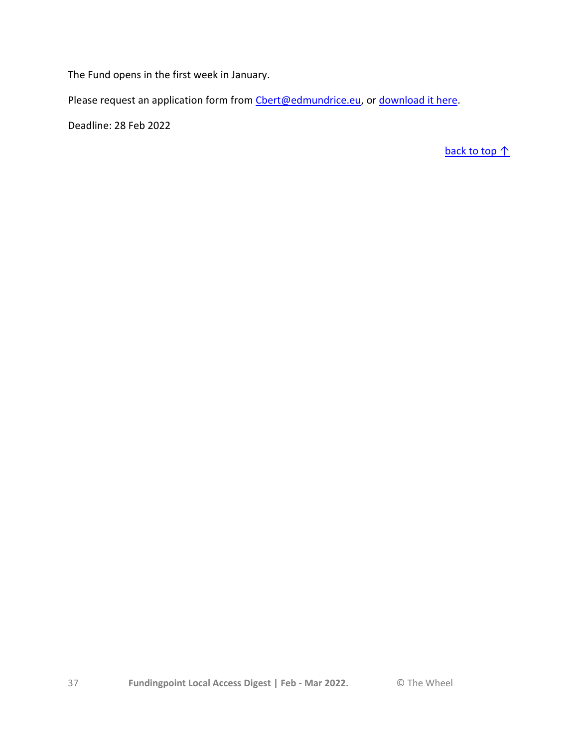The Fund opens in the first week in January.

Please request an application form from [Cbert@edmundrice.eu,](https://www.wheel.ie/funding/fundingpoint/scheme/Cbert@edmundrice.eu) or [download it here.](https://www.wheel.ie/sites/default/files/media/file-uploads/2022-01/Application%20form%202021-22%20revised.docx)

Deadline: 28 Feb 2022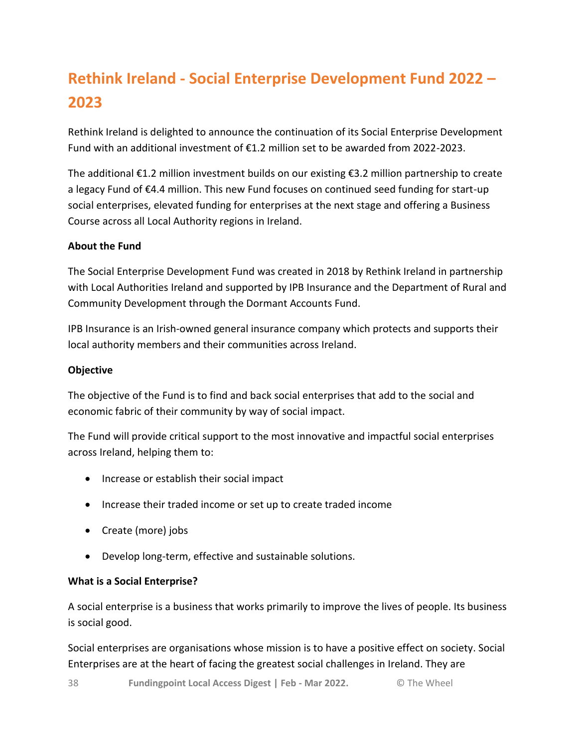# <span id="page-37-0"></span>**Rethink Ireland - Social Enterprise Development Fund 2022 – 2023**

Rethink Ireland is delighted to announce the continuation of its Social Enterprise Development Fund with an additional investment of €1.2 million set to be awarded from 2022-2023.

The additional €1.2 million investment builds on our existing €3.2 million partnership to create a legacy Fund of €4.4 million. This new Fund focuses on continued seed funding for start-up social enterprises, elevated funding for enterprises at the next stage and offering a Business Course across all Local Authority regions in Ireland.

# **About the Fund**

The Social Enterprise Development Fund was created in 2018 by Rethink Ireland in partnership with Local Authorities Ireland and supported by IPB Insurance and the Department of Rural and Community Development through the Dormant Accounts Fund.

IPB Insurance is an Irish-owned general insurance company which protects and supports their local authority members and their communities across Ireland.

# **Objective**

The objective of the Fund is to find and back social enterprises that add to the social and economic fabric of their community by way of social impact.

The Fund will provide critical support to the most innovative and impactful social enterprises across Ireland, helping them to:

- Increase or establish their social impact
- Increase their traded income or set up to create traded income
- Create (more) jobs
- Develop long-term, effective and sustainable solutions.

# **What is a Social Enterprise?**

A social enterprise is a business that works primarily to improve the lives of people. Its business is social good.

Social enterprises are organisations whose mission is to have a positive effect on society. Social Enterprises are at the heart of facing the greatest social challenges in Ireland. They are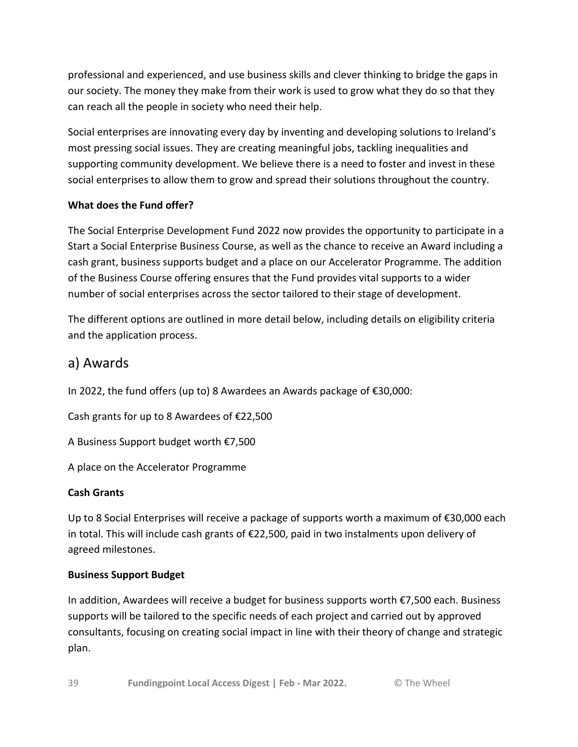professional and experienced, and use business skills and clever thinking to bridge the gaps in our society. The money they make from their work is used to grow what they do so that they can reach all the people in society who need their help.

Social enterprises are innovating every day by inventing and developing solutions to Ireland's most pressing social issues. They are creating meaningful jobs, tackling inequalities and supporting community development. We believe there is a need to foster and invest in these social enterprises to allow them to grow and spread their solutions throughout the country.

# **What does the Fund offer?**

The Social Enterprise Development Fund 2022 now provides the opportunity to participate in a Start a Social Enterprise Business Course, as well as the chance to receive an Award including a cash grant, business supports budget and a place on our Accelerator Programme. The addition of the Business Course offering ensures that the Fund provides vital supports to a wider number of social enterprises across the sector tailored to their stage of development.

The different options are outlined in more detail below, including details on eligibility criteria and the application process.

# a) Awards

In 2022, the fund offers (up to) 8 Awardees an Awards package of €30,000:

Cash grants for up to 8 Awardees of €22,500

A Business Support budget worth €7,500

A place on the Accelerator Programme

# **Cash Grants**

Up to 8 Social Enterprises will receive a package of supports worth a maximum of €30,000 each in total. This will include cash grants of €22,500, paid in two instalments upon delivery of agreed milestones.

# **Business Support Budget**

In addition, Awardees will receive a budget for business supports worth €7,500 each. Business supports will be tailored to the specific needs of each project and carried out by approved consultants, focusing on creating social impact in line with their theory of change and strategic plan.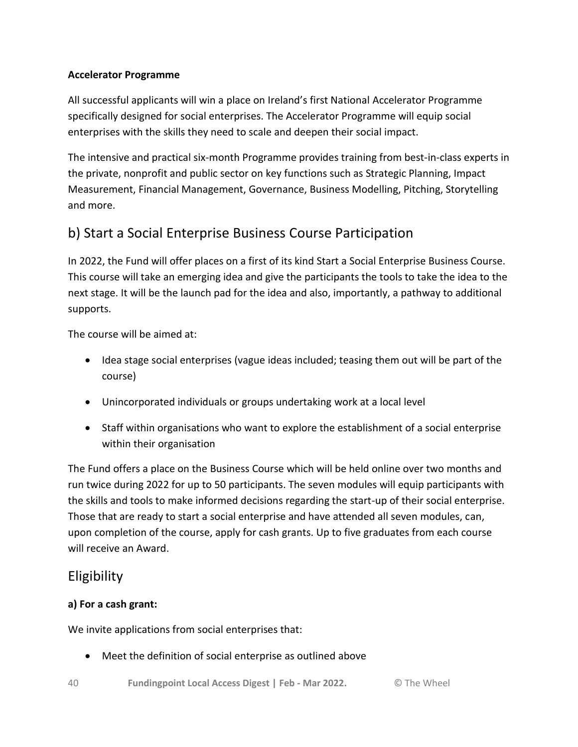# **Accelerator Programme**

All successful applicants will win a place on Ireland's first National Accelerator Programme specifically designed for social enterprises. The Accelerator Programme will equip social enterprises with the skills they need to scale and deepen their social impact.

The intensive and practical six-month Programme provides training from best-in-class experts in the private, nonprofit and public sector on key functions such as Strategic Planning, Impact Measurement, Financial Management, Governance, Business Modelling, Pitching, Storytelling and more.

# b) Start a Social Enterprise Business Course Participation

In 2022, the Fund will offer places on a first of its kind Start a Social Enterprise Business Course. This course will take an emerging idea and give the participants the tools to take the idea to the next stage. It will be the launch pad for the idea and also, importantly, a pathway to additional supports.

The course will be aimed at:

- Idea stage social enterprises (vague ideas included; teasing them out will be part of the course)
- Unincorporated individuals or groups undertaking work at a local level
- Staff within organisations who want to explore the establishment of a social enterprise within their organisation

The Fund offers a place on the Business Course which will be held online over two months and run twice during 2022 for up to 50 participants. The seven modules will equip participants with the skills and tools to make informed decisions regarding the start-up of their social enterprise. Those that are ready to start a social enterprise and have attended all seven modules, can, upon completion of the course, apply for cash grants. Up to five graduates from each course will receive an Award.

# Eligibility

# **a) For a cash grant:**

We invite applications from social enterprises that:

Meet the definition of social enterprise as outlined above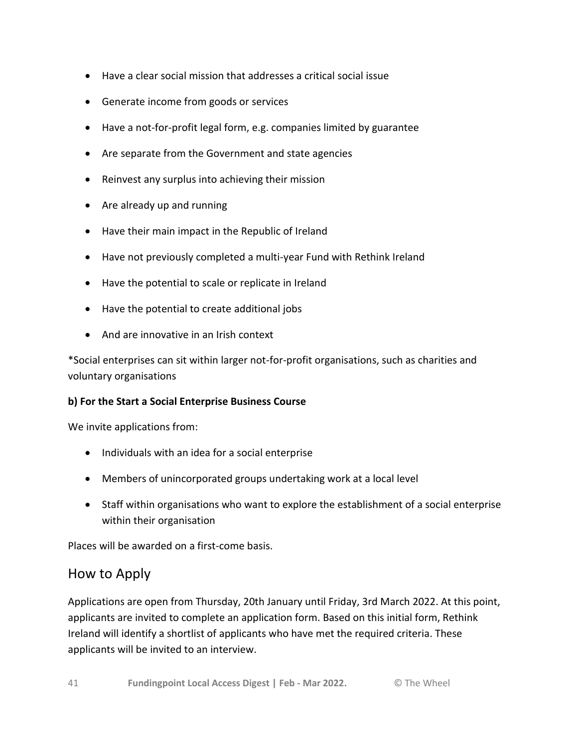- Have a clear social mission that addresses a critical social issue
- Generate income from goods or services
- Have a not-for-profit legal form, e.g. companies limited by guarantee
- Are separate from the Government and state agencies
- Reinvest any surplus into achieving their mission
- Are already up and running
- Have their main impact in the Republic of Ireland
- Have not previously completed a multi-year Fund with Rethink Ireland
- Have the potential to scale or replicate in Ireland
- Have the potential to create additional jobs
- And are innovative in an Irish context

\*Social enterprises can sit within larger not-for-profit organisations, such as charities and voluntary organisations

# **b) For the Start a Social Enterprise Business Course**

We invite applications from:

- Individuals with an idea for a social enterprise
- Members of unincorporated groups undertaking work at a local level
- Staff within organisations who want to explore the establishment of a social enterprise within their organisation

Places will be awarded on a first-come basis.

# How to Apply

Applications are open from Thursday, 20th January until Friday, 3rd March 2022. At this point, applicants are invited to complete an application form. Based on this initial form, Rethink Ireland will identify a shortlist of applicants who have met the required criteria. These applicants will be invited to an interview.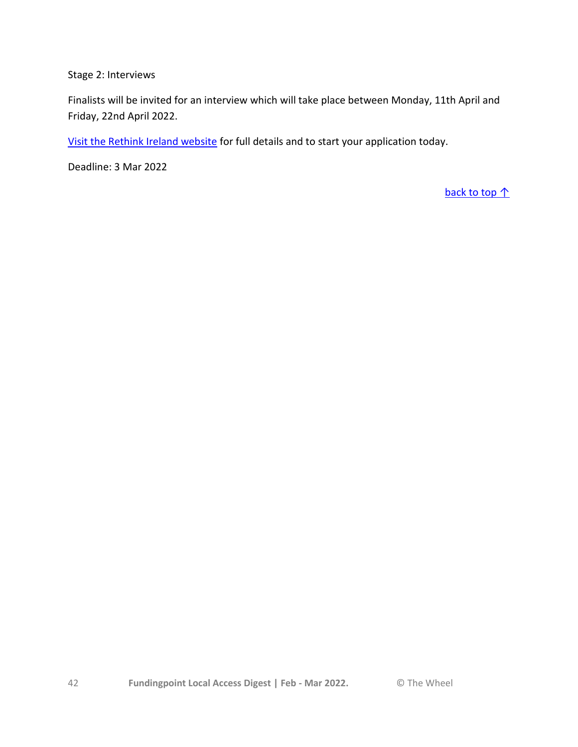Stage 2: Interviews

Finalists will be invited for an interview which will take place between Monday, 11th April and Friday, 22nd April 2022.

[Visit the Rethink Ireland website](https://rethinkireland.ie/current_fund/social-enterprise-development-fund-2022-2023/) for full details and to start your application today.

Deadline: 3 Mar 2022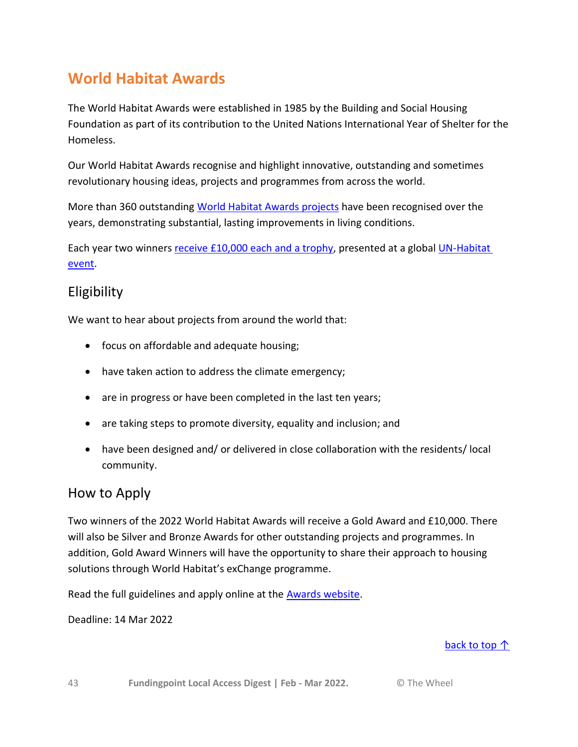# <span id="page-42-0"></span>**World Habitat Awards**

The World Habitat Awards were established in 1985 by the Building and Social Housing Foundation as part of its contribution to the United Nations International Year of Shelter for the Homeless.

Our World Habitat Awards recognise and highlight innovative, outstanding and sometimes revolutionary housing ideas, projects and programmes from across the world.

More than 360 outstanding [World Habitat Awards projects](https://world-habitat.org/world-habitat-awards/winners-and-finalists/?fwp_year=2019) have been recognised over the years, demonstrating substantial, lasting improvements in living conditions.

Each year two winners [receive £10,000 each and a trophy,](https://world-habitat.org/world-habitat-awards/prize/) presented at a global UN-Habitat [event.](https://unhabitat.org/events/)

# Eligibility

We want to hear about projects from around the world that:

- focus on affordable and adequate housing;
- have taken action to address the climate emergency;
- are in progress or have been completed in the last ten years;
- are taking steps to promote diversity, equality and inclusion; and
- have been designed and/ or delivered in close collaboration with the residents/ local community.

# How to Apply

Two winners of the 2022 World Habitat Awards will receive a Gold Award and £10,000. There will also be Silver and Bronze Awards for other outstanding projects and programmes. In addition, Gold Award Winners will have the opportunity to share their approach to housing solutions through World Habitat's exChange programme.

Read the full guidelines and apply online at the [Awards website.](https://world-habitat.org/world-habitat-awards/how-to-enter/enter-online/)

Deadline: 14 Mar 2022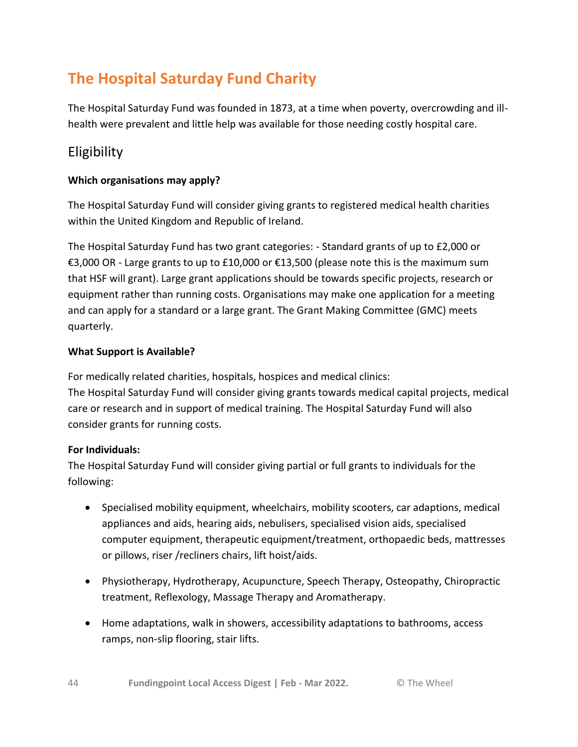# <span id="page-43-0"></span>**The Hospital Saturday Fund Charity**

The Hospital Saturday Fund was founded in 1873, at a time when poverty, overcrowding and illhealth were prevalent and little help was available for those needing costly hospital care.

# Eligibility

# **Which organisations may apply?**

The Hospital Saturday Fund will consider giving grants to registered medical health charities within the United Kingdom and Republic of Ireland.

The Hospital Saturday Fund has two grant categories: - Standard grants of up to £2,000 or €3,000 OR - Large grants to up to £10,000 or €13,500 (please note this is the maximum sum that HSF will grant). Large grant applications should be towards specific projects, research or equipment rather than running costs. Organisations may make one application for a meeting and can apply for a standard or a large grant. The Grant Making Committee (GMC) meets quarterly.

# **What Support is Available?**

For medically related charities, hospitals, hospices and medical clinics: The Hospital Saturday Fund will consider giving grants towards medical capital projects, medical care or research and in support of medical training. The Hospital Saturday Fund will also consider grants for running costs.

# **For Individuals:**

The Hospital Saturday Fund will consider giving partial or full grants to individuals for the following:

- Specialised mobility equipment, wheelchairs, mobility scooters, car adaptions, medical appliances and aids, hearing aids, nebulisers, specialised vision aids, specialised computer equipment, therapeutic equipment/treatment, orthopaedic beds, mattresses or pillows, riser /recliners chairs, lift hoist/aids.
- Physiotherapy, Hydrotherapy, Acupuncture, Speech Therapy, Osteopathy, Chiropractic treatment, Reflexology, Massage Therapy and Aromatherapy.
- Home adaptations, walk in showers, accessibility adaptations to bathrooms, access ramps, non-slip flooring, stair lifts.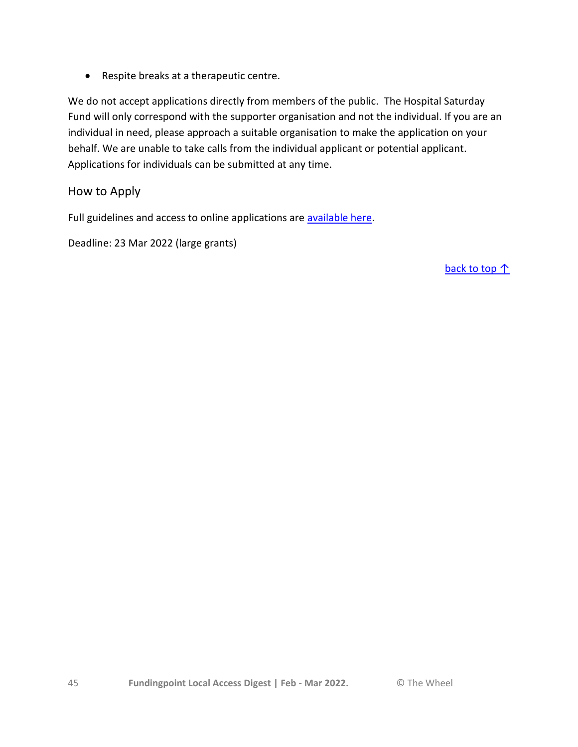Respite breaks at a therapeutic centre.

We do not accept applications directly from members of the public. The Hospital Saturday Fund will only correspond with the supporter organisation and not the individual. If you are an individual in need, please approach a suitable organisation to make the application on your behalf. We are unable to take calls from the individual applicant or potential applicant. Applications for individuals can be submitted at any time.

# How to Apply

Full guidelines and access to online applications are [available here.](https://hospitalsaturdayfund.org/apply-for-a-grant/#1560017195992-cf4b9003-7ebc)

Deadline: 23 Mar 2022 (large grants)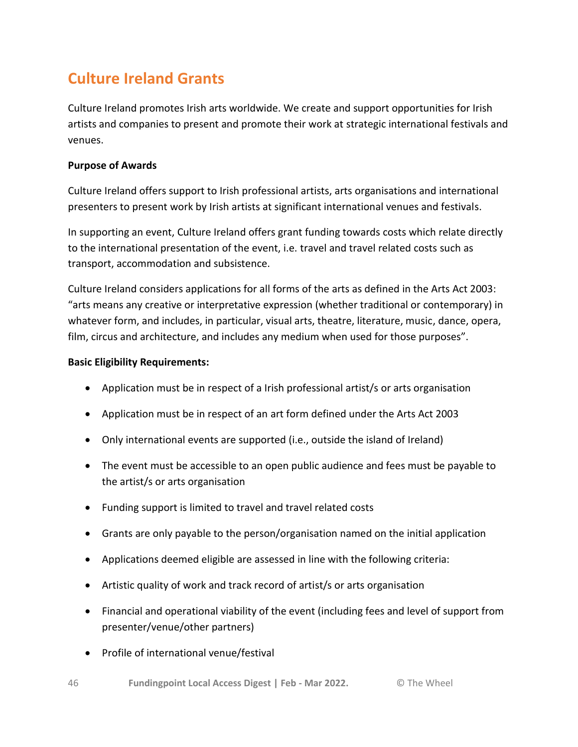# <span id="page-45-0"></span>**Culture Ireland Grants**

Culture Ireland promotes Irish arts worldwide. We create and support opportunities for Irish artists and companies to present and promote their work at strategic international festivals and venues.

# **Purpose of Awards**

Culture Ireland offers support to Irish professional artists, arts organisations and international presenters to present work by Irish artists at significant international venues and festivals.

In supporting an event, Culture Ireland offers grant funding towards costs which relate directly to the international presentation of the event, i.e. travel and travel related costs such as transport, accommodation and subsistence.

Culture Ireland considers applications for all forms of the arts as defined in the Arts Act 2003: "arts means any creative or interpretative expression (whether traditional or contemporary) in whatever form, and includes, in particular, visual arts, theatre, literature, music, dance, opera, film, circus and architecture, and includes any medium when used for those purposes".

# **Basic Eligibility Requirements:**

- Application must be in respect of a Irish professional artist/s or arts organisation
- Application must be in respect of an art form defined under the Arts Act 2003
- Only international events are supported (i.e., outside the island of Ireland)
- The event must be accessible to an open public audience and fees must be payable to the artist/s or arts organisation
- Funding support is limited to travel and travel related costs
- Grants are only payable to the person/organisation named on the initial application
- Applications deemed eligible are assessed in line with the following criteria:
- Artistic quality of work and track record of artist/s or arts organisation
- Financial and operational viability of the event (including fees and level of support from presenter/venue/other partners)
- Profile of international venue/festival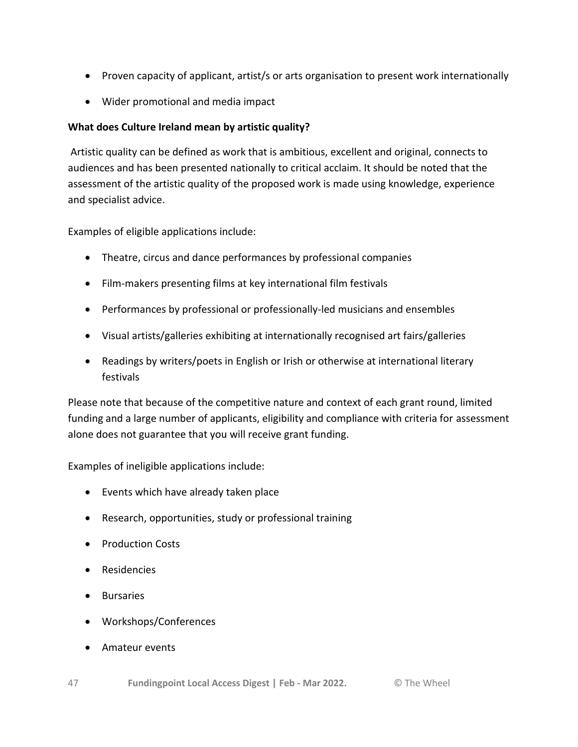- Proven capacity of applicant, artist/s or arts organisation to present work internationally
- Wider promotional and media impact

# **What does Culture Ireland mean by artistic quality?**

Artistic quality can be defined as work that is ambitious, excellent and original, connects to audiences and has been presented nationally to critical acclaim. It should be noted that the assessment of the artistic quality of the proposed work is made using knowledge, experience and specialist advice.

Examples of eligible applications include:

- Theatre, circus and dance performances by professional companies
- Film-makers presenting films at key international film festivals
- Performances by professional or professionally-led musicians and ensembles
- Visual artists/galleries exhibiting at internationally recognised art fairs/galleries
- Readings by writers/poets in English or Irish or otherwise at international literary festivals

Please note that because of the competitive nature and context of each grant round, limited funding and a large number of applicants, eligibility and compliance with criteria for assessment alone does not guarantee that you will receive grant funding.

Examples of ineligible applications include:

- Events which have already taken place
- Research, opportunities, study or professional training
- Production Costs
- Residencies
- **•** Bursaries
- Workshops/Conferences
- Amateur events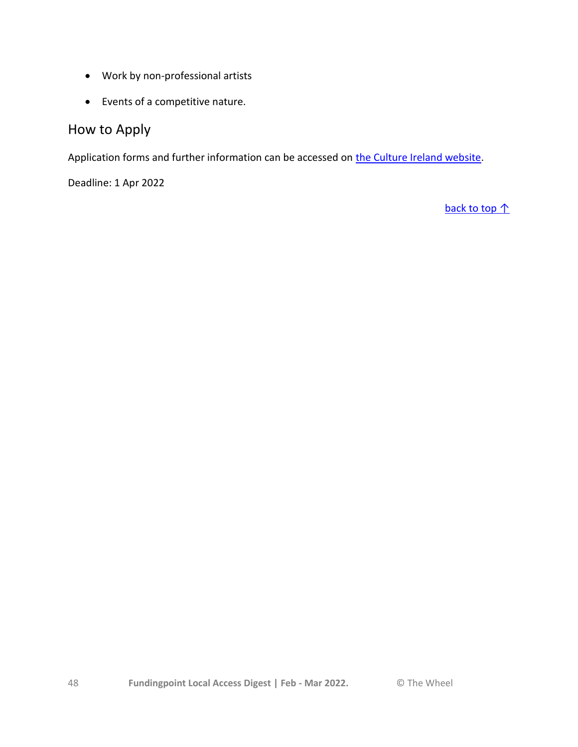- Work by non-professional artists
- Events of a competitive nature.

# How to Apply

Application forms and further information can be accessed on [the Culture Ireland website.](http://www.cultureireland.ie/funding/schemes/regular)

Deadline: 1 Apr 2022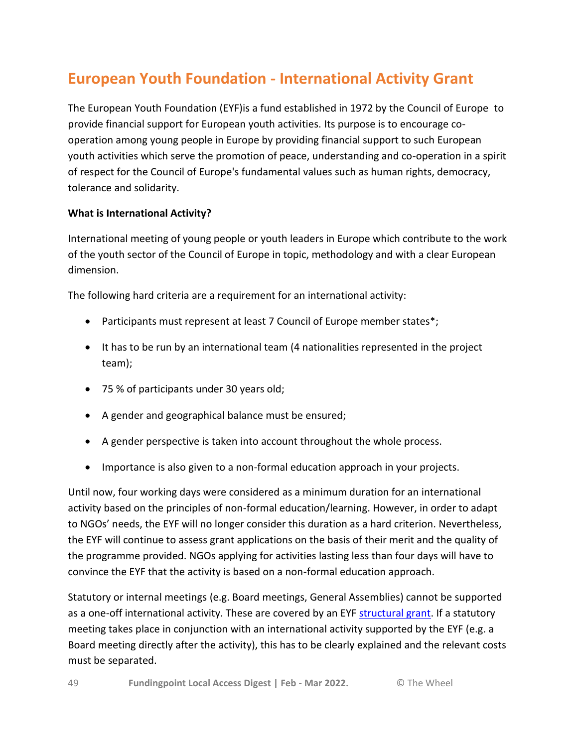# <span id="page-48-0"></span>**European Youth Foundation - International Activity Grant**

The European Youth Foundation (EYF)is a fund established in 1972 by the Council of Europe to provide financial support for European youth activities. Its purpose is to encourage cooperation among young people in Europe by providing financial support to such European youth activities which serve the promotion of peace, understanding and co-operation in a spirit of respect for the Council of Europe's fundamental values such as human rights, democracy, tolerance and solidarity.

# **What is International Activity?**

International meeting of young people or youth leaders in Europe which contribute to the work of the youth sector of the Council of Europe in topic, methodology and with a clear European dimension.

The following hard criteria are a requirement for an international activity:

- Participants must represent at least 7 Council of Europe member states\*;
- It has to be run by an international team (4 nationalities represented in the project team);
- 75 % of participants under 30 years old;
- A gender and geographical balance must be ensured;
- A gender perspective is taken into account throughout the whole process.
- Importance is also given to a non-formal education approach in your projects.

Until now, four working days were considered as a minimum duration for an international activity based on the principles of non-formal education/learning. However, in order to adapt to NGOs' needs, the EYF will no longer consider this duration as a hard criterion. Nevertheless, the EYF will continue to assess grant applications on the basis of their merit and the quality of the programme provided. NGOs applying for activities lasting less than four days will have to convince the EYF that the activity is based on a non-formal education approach.

Statutory or internal meetings (e.g. Board meetings, General Assemblies) cannot be supported as a one-off international activity. These are covered by an EYF [structural grant.](https://www.coe.int/en/web/european-youth-foundation/structural-grant) If a statutory meeting takes place in conjunction with an international activity supported by the EYF (e.g. a Board meeting directly after the activity), this has to be clearly explained and the relevant costs must be separated.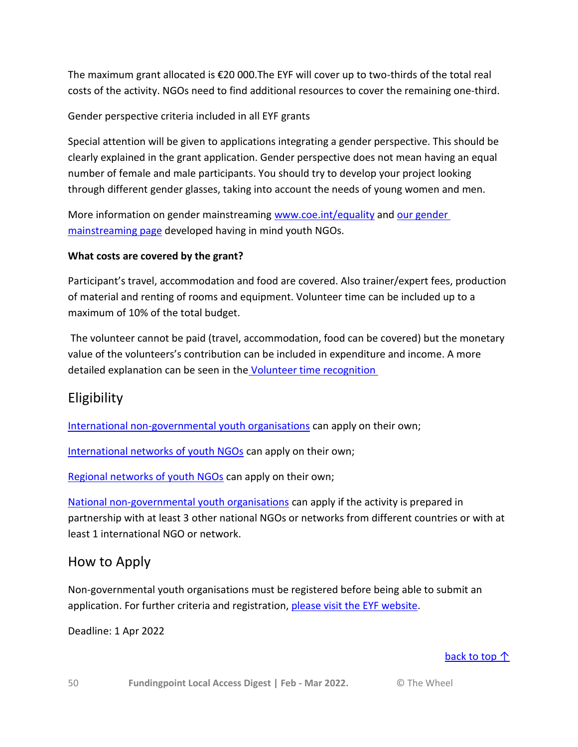The maximum grant allocated is €20 000.The EYF will cover up to two-thirds of the total real costs of the activity. NGOs need to find additional resources to cover the remaining one-third.

Gender perspective criteria included in all EYF grants

Special attention will be given to applications integrating a gender perspective. This should be clearly explained in the grant application. Gender perspective does not mean having an equal number of female and male participants. You should try to develop your project looking through different gender glasses, taking into account the needs of young women and men.

More information on gender mainstreaming [www.coe.int/equality](http://www.coe.int/t/DGHL/STANDARDSETTING/EQUALITY/) and our gender [mainstreaming page](https://www.coe.int/web/european-youth-foundation/gender-mainstreaming) developed having in mind youth NGOs.

# **What costs are covered by the grant?**

Participant's travel, accommodation and food are covered. Also trainer/expert fees, production of material and renting of rooms and equipment. Volunteer time can be included up to a maximum of 10% of the total budget.

The volunteer cannot be paid (travel, accommodation, food can be covered) but the monetary value of the volunteers's contribution can be included in expenditure and income. A more detailed explanation can be seen in the [Volunteer time recognition](https://www.coe.int/web/european-youth-foundation/volunteer-time-recognition)

# Eligibility

[International non-governmental youth organisations](https://www.coe.int/web/european-youth-foundation/international-youth-ngos) can apply on their own;

[International networks of youth NGOs](https://www.coe.int/web/european-youth-foundation/international-network-of-youth-ngos) can apply on their own;

[Regional networks of youth NGOs](https://www.coe.int/web/european-youth-foundation/regional-network-of-youth-ngos) can apply on their own;

[National non-governmental youth organisations](https://www.coe.int/web/european-youth-foundation/national-youth-ngos) can apply if the activity is prepared in partnership with at least 3 other national NGOs or networks from different countries or with at least 1 international NGO or network.

# How to Apply

Non-governmental youth organisations must be registered before being able to submit an application. For further criteria and registration, [please visit the EYF website.](http://www.coe.int/web/european-youth-foundation/how-to-apply)

Deadline: 1 Apr 2022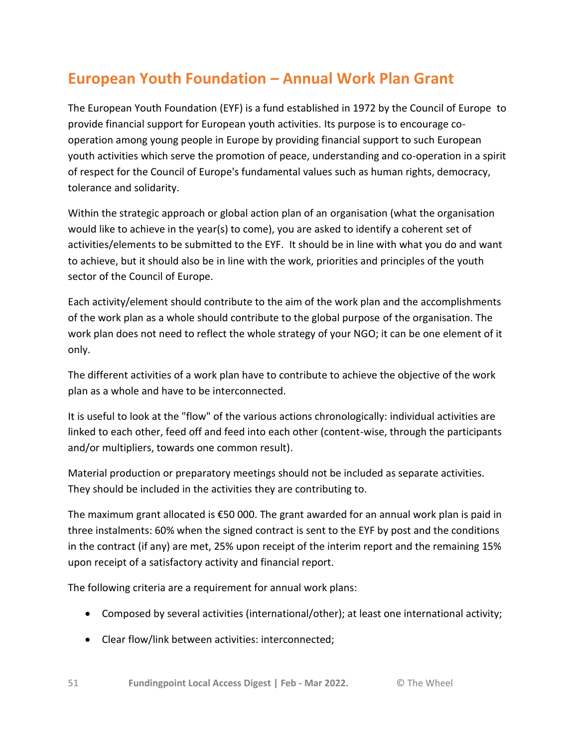# <span id="page-50-0"></span>**European Youth Foundation – Annual Work Plan Grant**

The European Youth Foundation (EYF) is a fund established in 1972 by the Council of Europe to provide financial support for European youth activities. Its purpose is to encourage cooperation among young people in Europe by providing financial support to such European youth activities which serve the promotion of peace, understanding and co-operation in a spirit of respect for the Council of Europe's fundamental values such as human rights, democracy, tolerance and solidarity.

Within the strategic approach or global action plan of an organisation (what the organisation would like to achieve in the year(s) to come), you are asked to identify a coherent set of activities/elements to be submitted to the EYF. It should be in line with what you do and want to achieve, but it should also be in line with the work, priorities and principles of the youth sector of the Council of Europe.

Each activity/element should contribute to the aim of the work plan and the accomplishments of the work plan as a whole should contribute to the global purpose of the organisation. The work plan does not need to reflect the whole strategy of your NGO; it can be one element of it only.

The different activities of a work plan have to contribute to achieve the objective of the work plan as a whole and have to be interconnected.

It is useful to look at the "flow" of the various actions chronologically: individual activities are linked to each other, feed off and feed into each other (content-wise, through the participants and/or multipliers, towards one common result).

Material production or preparatory meetings should not be included as separate activities. They should be included in the activities they are contributing to.

The maximum grant allocated is €50 000. The grant awarded for an annual work plan is paid in three instalments: 60% when the signed contract is sent to the EYF by post and the conditions in the contract (if any) are met, 25% upon receipt of the interim report and the remaining 15% upon receipt of a satisfactory activity and financial report.

The following criteria are a requirement for annual work plans:

- Composed by several activities (international/other); at least one international activity;
- Clear flow/link between activities: interconnected;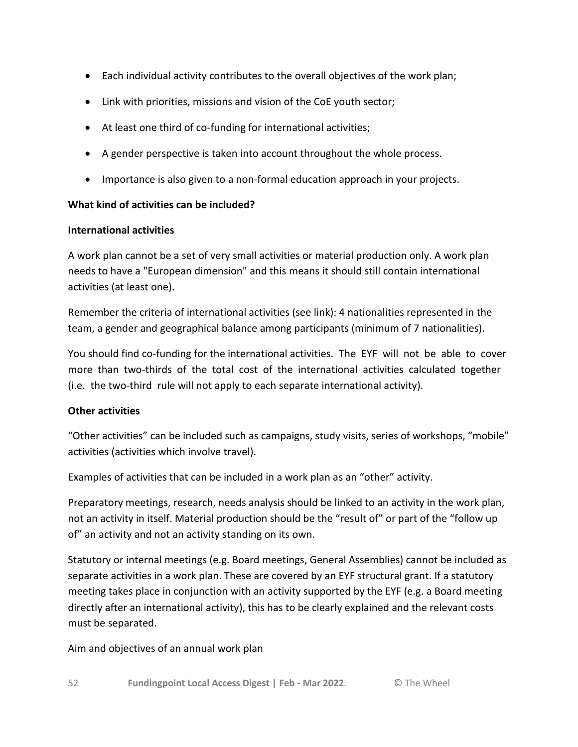- Each individual activity contributes to the overall objectives of the work plan;
- Link with priorities, missions and vision of the CoE youth sector;
- At least one third of co-funding for international activities;
- A gender perspective is taken into account throughout the whole process.
- Importance is also given to a non-formal education approach in your projects.

# **What kind of activities can be included?**

# **International activities**

A work plan cannot be a set of very small activities or material production only. A work plan needs to have a "European dimension" and this means it should still contain international activities (at least one).

Remember the criteria of international activities (see link): 4 nationalities represented in the team, a gender and geographical balance among participants (minimum of 7 nationalities).

You should find co-funding for the international activities. The EYF will not be able to cover more than two-thirds of the total cost of the international activities calculated together (i.e. the two-third rule will not apply to each separate international activity).

# **Other activities**

"Other activities" can be included such as campaigns, study visits, series of workshops, "mobile" activities (activities which involve travel).

Examples of activities that can be included in a work plan as an "other" activity.

Preparatory meetings, research, needs analysis should be linked to an activity in the work plan, not an activity in itself. Material production should be the "result of" or part of the "follow up of" an activity and not an activity standing on its own.

Statutory or internal meetings (e.g. Board meetings, General Assemblies) cannot be included as separate activities in a work plan. These are covered by an EYF structural grant. If a statutory meeting takes place in conjunction with an activity supported by the EYF (e.g. a Board meeting directly after an international activity), this has to be clearly explained and the relevant costs must be separated.

Aim and objectives of an annual work plan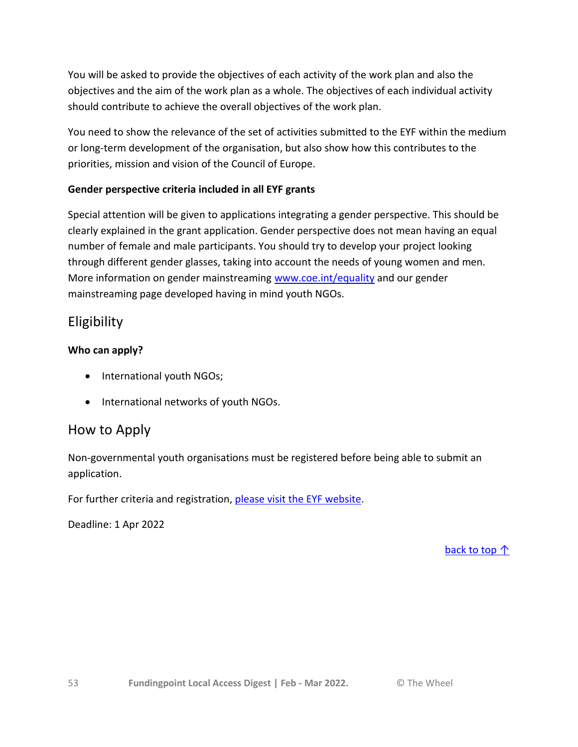You will be asked to provide the objectives of each activity of the work plan and also the objectives and the aim of the work plan as a whole. The objectives of each individual activity should contribute to achieve the overall objectives of the work plan.

You need to show the relevance of the set of activities submitted to the EYF within the medium or long-term development of the organisation, but also show how this contributes to the priorities, mission and vision of the Council of Europe.

# **Gender perspective criteria included in all EYF grants**

Special attention will be given to applications integrating a gender perspective. This should be clearly explained in the grant application. Gender perspective does not mean having an equal number of female and male participants. You should try to develop your project looking through different gender glasses, taking into account the needs of young women and men. More information on gender mainstreaming [www.coe.int/equality](http://www.coe.int/equality) and our gender mainstreaming page developed having in mind youth NGOs.

# **Eligibility**

# **Who can apply?**

- International youth NGOs;
- International networks of youth NGOs.

# How to Apply

Non-governmental youth organisations must be registered before being able to submit an application.

For further criteria and registration, [please visit the EYF website.](http://www.coe.int/en/web/european-youth-foundation/annual-work-plan)

Deadline: 1 Apr 2022